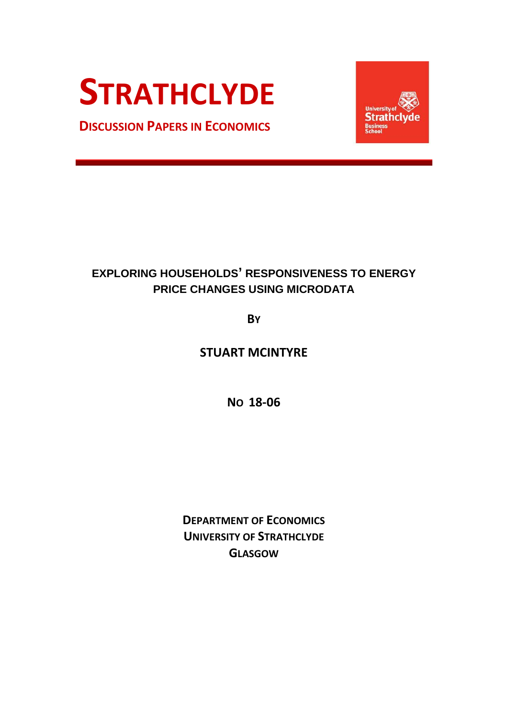# **STRATHCLYDE**

**DISCUSSION PAPERS IN ECONOMICS**



## **EXPLORING HOUSEHOLDS' RESPONSIVENESS TO ENERGY PRICE CHANGES USING MICRODATA**

**BY**

**STUART MCINTYRE** 

**NO 18-06**

**DEPARTMENT OF ECONOMICS UNIVERSITY OF STRATHCLYDE GLASGOW**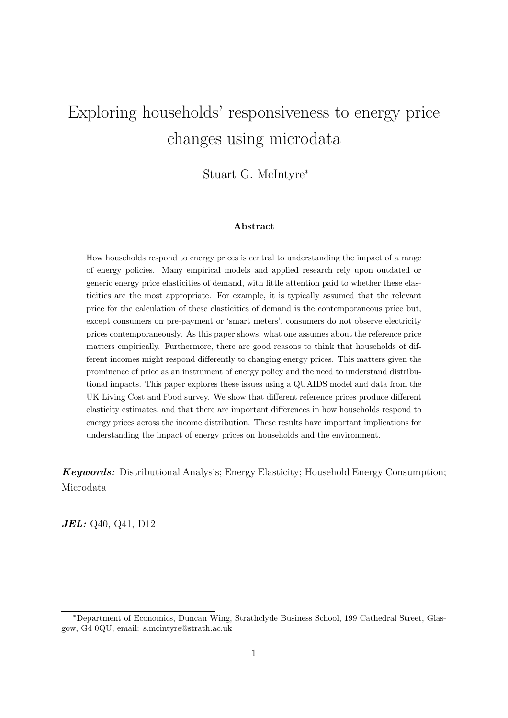## Exploring households' responsiveness to energy price changes using microdata

Stuart G. McIntyre<sup>∗</sup>

#### Abstract

How households respond to energy prices is central to understanding the impact of a range of energy policies. Many empirical models and applied research rely upon outdated or generic energy price elasticities of demand, with little attention paid to whether these elasticities are the most appropriate. For example, it is typically assumed that the relevant price for the calculation of these elasticities of demand is the contemporaneous price but, except consumers on pre-payment or 'smart meters', consumers do not observe electricity prices contemporaneously. As this paper shows, what one assumes about the reference price matters empirically. Furthermore, there are good reasons to think that households of different incomes might respond differently to changing energy prices. This matters given the prominence of price as an instrument of energy policy and the need to understand distributional impacts. This paper explores these issues using a QUAIDS model and data from the UK Living Cost and Food survey. We show that different reference prices produce different elasticity estimates, and that there are important differences in how households respond to energy prices across the income distribution. These results have important implications for understanding the impact of energy prices on households and the environment.

Keywords: Distributional Analysis; Energy Elasticity; Household Energy Consumption; Microdata

*JEL:* Q<sub>40</sub>, Q<sub>41</sub>, D<sub>12</sub>

<sup>∗</sup>Department of Economics, Duncan Wing, Strathclyde Business School, 199 Cathedral Street, Glasgow, G4 0QU, email: s.mcintyre@strath.ac.uk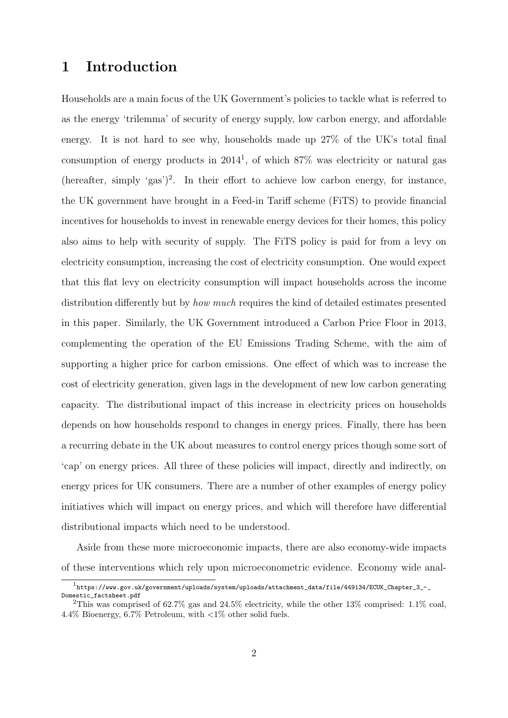## 1 Introduction

Households are a main focus of the UK Government's policies to tackle what is referred to as the energy 'trilemma' of security of energy supply, low carbon energy, and affordable energy. It is not hard to see why, households made up 27% of the UK's total final consumption of energy products in  $2014<sup>1</sup>$ , of which  $87\%$  was electricity or natural gas (hereafter, simply 'gas')<sup>2</sup>. In their effort to achieve low carbon energy, for instance, the UK government have brought in a Feed-in Tariff scheme (FiTS) to provide financial incentives for households to invest in renewable energy devices for their homes, this policy also aims to help with security of supply. The FiTS policy is paid for from a levy on electricity consumption, increasing the cost of electricity consumption. One would expect that this flat levy on electricity consumption will impact households across the income distribution differently but by how much requires the kind of detailed estimates presented in this paper. Similarly, the UK Government introduced a Carbon Price Floor in 2013, complementing the operation of the EU Emissions Trading Scheme, with the aim of supporting a higher price for carbon emissions. One effect of which was to increase the cost of electricity generation, given lags in the development of new low carbon generating capacity. The distributional impact of this increase in electricity prices on households depends on how households respond to changes in energy prices. Finally, there has been a recurring debate in the UK about measures to control energy prices though some sort of 'cap' on energy prices. All three of these policies will impact, directly and indirectly, on energy prices for UK consumers. There are a number of other examples of energy policy initiatives which will impact on energy prices, and which will therefore have differential distributional impacts which need to be understood.

Aside from these more microeconomic impacts, there are also economy-wide impacts of these interventions which rely upon microeconometric evidence. Economy wide anal-

 $^1$ https://www.gov.uk/government/uploads/system/uploads/attachment\_data/file/449134/ECUK\_Chapter\_3\_-\_ Domestic\_factsheet.pdf

<sup>&</sup>lt;sup>2</sup>This was comprised of 62.7% gas and 24.5% electricity, while the other 13% comprised: 1.1% coal, 4.4% Bioenergy, 6.7% Petroleum, with  $\langle 1\% \rangle$  other solid fuels.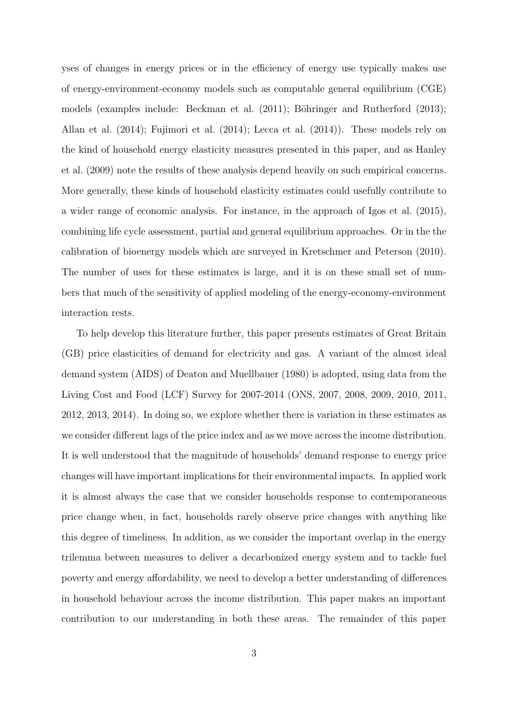yses of changes in energy prices or in the efficiency of energy use typically makes use of energy-environment-economy models such as computable general equilibrium (CGE) models (examples include: Beckman et al.  $(2011)$ ; Böhringer and Rutherford  $(2013)$ ; Allan et al. (2014); Fujimori et al. (2014); Lecca et al. (2014)). These models rely on the kind of household energy elasticity measures presented in this paper, and as Hanley et al. (2009) note the results of these analysis depend heavily on such empirical concerns. More generally, these kinds of household elasticity estimates could usefully contribute to a wider range of economic analysis. For instance, in the approach of Igos et al. (2015), combining life cycle assessment, partial and general equilibrium approaches. Or in the the calibration of bioenergy models which are surveyed in Kretschmer and Peterson (2010). The number of uses for these estimates is large, and it is on these small set of numbers that much of the sensitivity of applied modeling of the energy-economy-environment interaction rests.

To help develop this literature further, this paper presents estimates of Great Britain (GB) price elasticities of demand for electricity and gas. A variant of the almost ideal demand system (AIDS) of Deaton and Muellbauer (1980) is adopted, using data from the Living Cost and Food (LCF) Survey for 2007-2014 (ONS, 2007, 2008, 2009, 2010, 2011, 2012, 2013, 2014). In doing so, we explore whether there is variation in these estimates as we consider different lags of the price index and as we move across the income distribution. It is well understood that the magnitude of households' demand response to energy price changes will have important implications for their environmental impacts. In applied work it is almost always the case that we consider households response to contemporaneous price change when, in fact, households rarely observe price changes with anything like this degree of timeliness. In addition, as we consider the important overlap in the energy trilemma between measures to deliver a decarbonized energy system and to tackle fuel poverty and energy affordability, we need to develop a better understanding of differences in household behaviour across the income distribution. This paper makes an important contribution to our understanding in both these areas. The remainder of this paper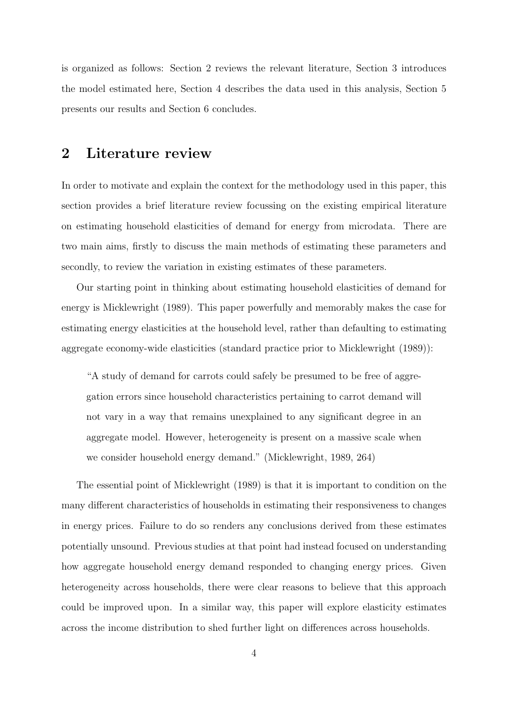is organized as follows: Section 2 reviews the relevant literature, Section 3 introduces the model estimated here, Section 4 describes the data used in this analysis, Section 5 presents our results and Section 6 concludes.

## 2 Literature review

In order to motivate and explain the context for the methodology used in this paper, this section provides a brief literature review focussing on the existing empirical literature on estimating household elasticities of demand for energy from microdata. There are two main aims, firstly to discuss the main methods of estimating these parameters and secondly, to review the variation in existing estimates of these parameters.

Our starting point in thinking about estimating household elasticities of demand for energy is Micklewright (1989). This paper powerfully and memorably makes the case for estimating energy elasticities at the household level, rather than defaulting to estimating aggregate economy-wide elasticities (standard practice prior to Micklewright (1989)):

"A study of demand for carrots could safely be presumed to be free of aggregation errors since household characteristics pertaining to carrot demand will not vary in a way that remains unexplained to any significant degree in an aggregate model. However, heterogeneity is present on a massive scale when we consider household energy demand." (Micklewright, 1989, 264)

The essential point of Micklewright (1989) is that it is important to condition on the many different characteristics of households in estimating their responsiveness to changes in energy prices. Failure to do so renders any conclusions derived from these estimates potentially unsound. Previous studies at that point had instead focused on understanding how aggregate household energy demand responded to changing energy prices. Given heterogeneity across households, there were clear reasons to believe that this approach could be improved upon. In a similar way, this paper will explore elasticity estimates across the income distribution to shed further light on differences across households.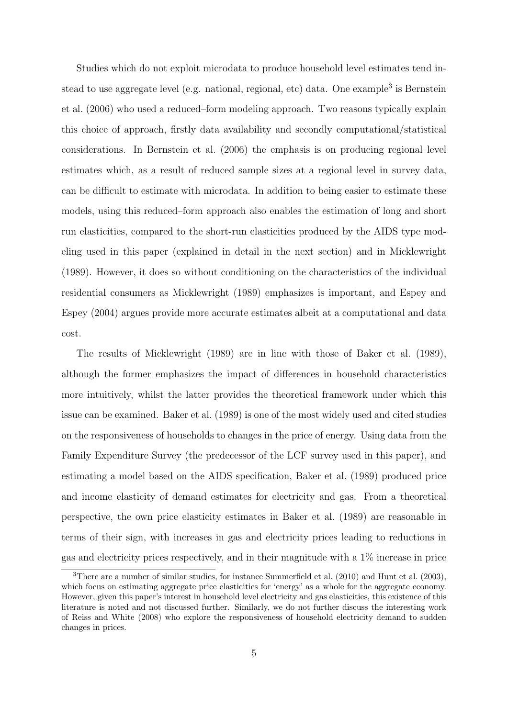Studies which do not exploit microdata to produce household level estimates tend instead to use aggregate level (e.g. national, regional, etc) data. One example<sup>3</sup> is Bernstein et al. (2006) who used a reduced–form modeling approach. Two reasons typically explain this choice of approach, firstly data availability and secondly computational/statistical considerations. In Bernstein et al. (2006) the emphasis is on producing regional level estimates which, as a result of reduced sample sizes at a regional level in survey data, can be difficult to estimate with microdata. In addition to being easier to estimate these models, using this reduced–form approach also enables the estimation of long and short run elasticities, compared to the short-run elasticities produced by the AIDS type modeling used in this paper (explained in detail in the next section) and in Micklewright (1989). However, it does so without conditioning on the characteristics of the individual residential consumers as Micklewright (1989) emphasizes is important, and Espey and Espey (2004) argues provide more accurate estimates albeit at a computational and data cost.

The results of Micklewright (1989) are in line with those of Baker et al. (1989), although the former emphasizes the impact of differences in household characteristics more intuitively, whilst the latter provides the theoretical framework under which this issue can be examined. Baker et al. (1989) is one of the most widely used and cited studies on the responsiveness of households to changes in the price of energy. Using data from the Family Expenditure Survey (the predecessor of the LCF survey used in this paper), and estimating a model based on the AIDS specification, Baker et al. (1989) produced price and income elasticity of demand estimates for electricity and gas. From a theoretical perspective, the own price elasticity estimates in Baker et al. (1989) are reasonable in terms of their sign, with increases in gas and electricity prices leading to reductions in gas and electricity prices respectively, and in their magnitude with a 1% increase in price

<sup>3</sup>There are a number of similar studies, for instance Summerfield et al. (2010) and Hunt et al. (2003), which focus on estimating aggregate price elasticities for 'energy' as a whole for the aggregate economy. However, given this paper's interest in household level electricity and gas elasticities, this existence of this literature is noted and not discussed further. Similarly, we do not further discuss the interesting work of Reiss and White (2008) who explore the responsiveness of household electricity demand to sudden changes in prices.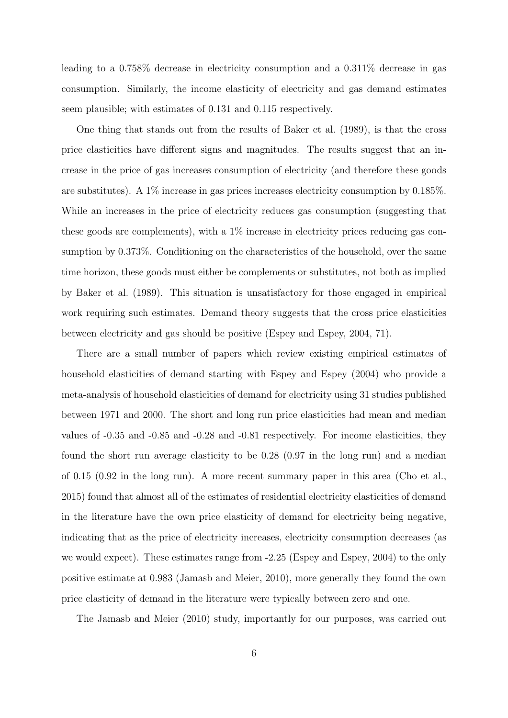leading to a 0.758% decrease in electricity consumption and a 0.311% decrease in gas consumption. Similarly, the income elasticity of electricity and gas demand estimates seem plausible; with estimates of 0.131 and 0.115 respectively.

One thing that stands out from the results of Baker et al. (1989), is that the cross price elasticities have different signs and magnitudes. The results suggest that an increase in the price of gas increases consumption of electricity (and therefore these goods are substitutes). A 1% increase in gas prices increases electricity consumption by 0.185%. While an increases in the price of electricity reduces gas consumption (suggesting that these goods are complements), with a 1% increase in electricity prices reducing gas consumption by 0.373%. Conditioning on the characteristics of the household, over the same time horizon, these goods must either be complements or substitutes, not both as implied by Baker et al. (1989). This situation is unsatisfactory for those engaged in empirical work requiring such estimates. Demand theory suggests that the cross price elasticities between electricity and gas should be positive (Espey and Espey, 2004, 71).

There are a small number of papers which review existing empirical estimates of household elasticities of demand starting with Espey and Espey (2004) who provide a meta-analysis of household elasticities of demand for electricity using 31 studies published between 1971 and 2000. The short and long run price elasticities had mean and median values of -0.35 and -0.85 and -0.28 and -0.81 respectively. For income elasticities, they found the short run average elasticity to be 0.28 (0.97 in the long run) and a median of 0.15 (0.92 in the long run). A more recent summary paper in this area (Cho et al., 2015) found that almost all of the estimates of residential electricity elasticities of demand in the literature have the own price elasticity of demand for electricity being negative, indicating that as the price of electricity increases, electricity consumption decreases (as we would expect). These estimates range from -2.25 (Espey and Espey, 2004) to the only positive estimate at 0.983 (Jamasb and Meier, 2010), more generally they found the own price elasticity of demand in the literature were typically between zero and one.

The Jamasb and Meier (2010) study, importantly for our purposes, was carried out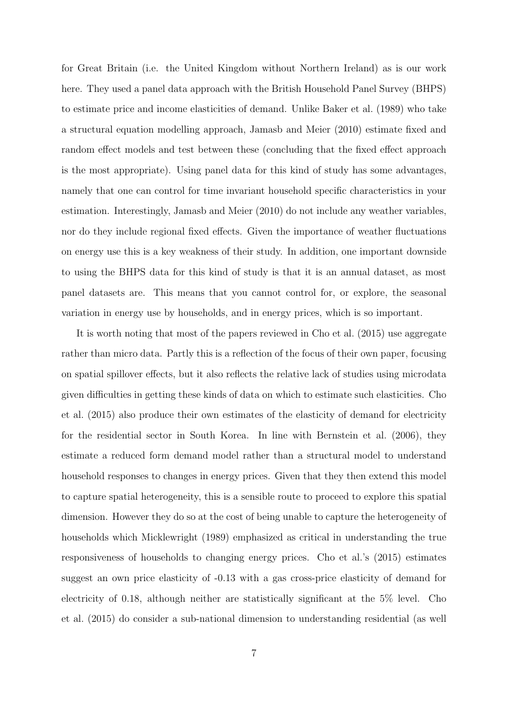for Great Britain (i.e. the United Kingdom without Northern Ireland) as is our work here. They used a panel data approach with the British Household Panel Survey (BHPS) to estimate price and income elasticities of demand. Unlike Baker et al. (1989) who take a structural equation modelling approach, Jamasb and Meier (2010) estimate fixed and random effect models and test between these (concluding that the fixed effect approach is the most appropriate). Using panel data for this kind of study has some advantages, namely that one can control for time invariant household specific characteristics in your estimation. Interestingly, Jamasb and Meier (2010) do not include any weather variables, nor do they include regional fixed effects. Given the importance of weather fluctuations on energy use this is a key weakness of their study. In addition, one important downside to using the BHPS data for this kind of study is that it is an annual dataset, as most panel datasets are. This means that you cannot control for, or explore, the seasonal variation in energy use by households, and in energy prices, which is so important.

It is worth noting that most of the papers reviewed in Cho et al. (2015) use aggregate rather than micro data. Partly this is a reflection of the focus of their own paper, focusing on spatial spillover effects, but it also reflects the relative lack of studies using microdata given difficulties in getting these kinds of data on which to estimate such elasticities. Cho et al. (2015) also produce their own estimates of the elasticity of demand for electricity for the residential sector in South Korea. In line with Bernstein et al. (2006), they estimate a reduced form demand model rather than a structural model to understand household responses to changes in energy prices. Given that they then extend this model to capture spatial heterogeneity, this is a sensible route to proceed to explore this spatial dimension. However they do so at the cost of being unable to capture the heterogeneity of households which Micklewright (1989) emphasized as critical in understanding the true responsiveness of households to changing energy prices. Cho et al.'s (2015) estimates suggest an own price elasticity of -0.13 with a gas cross-price elasticity of demand for electricity of 0.18, although neither are statistically significant at the 5% level. Cho et al. (2015) do consider a sub-national dimension to understanding residential (as well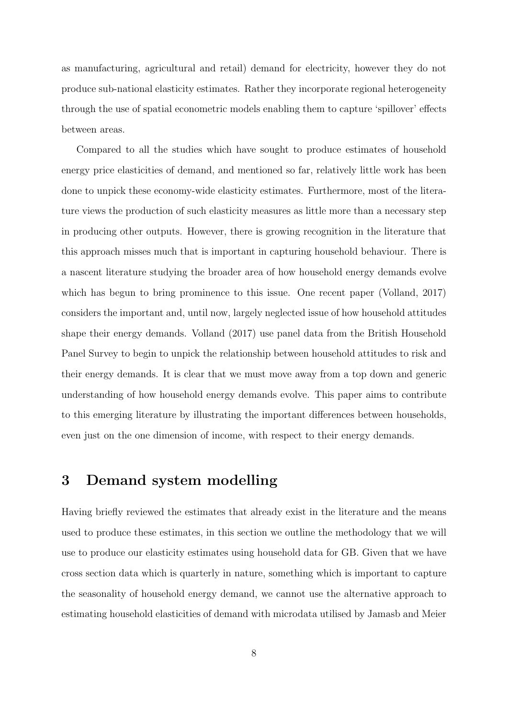as manufacturing, agricultural and retail) demand for electricity, however they do not produce sub-national elasticity estimates. Rather they incorporate regional heterogeneity through the use of spatial econometric models enabling them to capture 'spillover' effects between areas.

Compared to all the studies which have sought to produce estimates of household energy price elasticities of demand, and mentioned so far, relatively little work has been done to unpick these economy-wide elasticity estimates. Furthermore, most of the literature views the production of such elasticity measures as little more than a necessary step in producing other outputs. However, there is growing recognition in the literature that this approach misses much that is important in capturing household behaviour. There is a nascent literature studying the broader area of how household energy demands evolve which has begun to bring prominence to this issue. One recent paper (Volland, 2017) considers the important and, until now, largely neglected issue of how household attitudes shape their energy demands. Volland (2017) use panel data from the British Household Panel Survey to begin to unpick the relationship between household attitudes to risk and their energy demands. It is clear that we must move away from a top down and generic understanding of how household energy demands evolve. This paper aims to contribute to this emerging literature by illustrating the important differences between households, even just on the one dimension of income, with respect to their energy demands.

## 3 Demand system modelling

Having briefly reviewed the estimates that already exist in the literature and the means used to produce these estimates, in this section we outline the methodology that we will use to produce our elasticity estimates using household data for GB. Given that we have cross section data which is quarterly in nature, something which is important to capture the seasonality of household energy demand, we cannot use the alternative approach to estimating household elasticities of demand with microdata utilised by Jamasb and Meier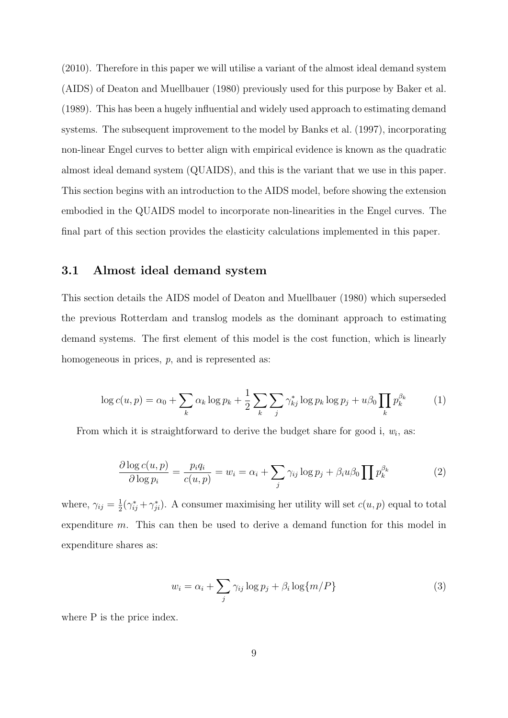(2010). Therefore in this paper we will utilise a variant of the almost ideal demand system (AIDS) of Deaton and Muellbauer (1980) previously used for this purpose by Baker et al. (1989). This has been a hugely influential and widely used approach to estimating demand systems. The subsequent improvement to the model by Banks et al. (1997), incorporating non-linear Engel curves to better align with empirical evidence is known as the quadratic almost ideal demand system (QUAIDS), and this is the variant that we use in this paper. This section begins with an introduction to the AIDS model, before showing the extension embodied in the QUAIDS model to incorporate non-linearities in the Engel curves. The final part of this section provides the elasticity calculations implemented in this paper.

#### 3.1 Almost ideal demand system

This section details the AIDS model of Deaton and Muellbauer (1980) which superseded the previous Rotterdam and translog models as the dominant approach to estimating demand systems. The first element of this model is the cost function, which is linearly homogeneous in prices,  $p$ , and is represented as:

$$
\log c(u, p) = \alpha_0 + \sum_k \alpha_k \log p_k + \frac{1}{2} \sum_k \sum_j \gamma_{kj}^* \log p_k \log p_j + u\beta_0 \prod_k p_k^{\beta_k} \tag{1}
$$

From which it is straightforward to derive the budget share for good i,  $w_i$ , as:

$$
\frac{\partial \log c(u, p)}{\partial \log p_i} = \frac{p_i q_i}{c(u, p)} = w_i = \alpha_i + \sum_j \gamma_{ij} \log p_j + \beta_i u \beta_0 \prod p_k^{\beta_k} \tag{2}
$$

where,  $\gamma_{ij} = \frac{1}{2}$  $\frac{1}{2}(\gamma_{ij}^* + \gamma_{ji}^*)$ . A consumer maximising her utility will set  $c(u, p)$  equal to total expenditure m. This can then be used to derive a demand function for this model in expenditure shares as:

$$
w_i = \alpha_i + \sum_j \gamma_{ij} \log p_j + \beta_i \log \{ m/P \}
$$
 (3)

where P is the price index.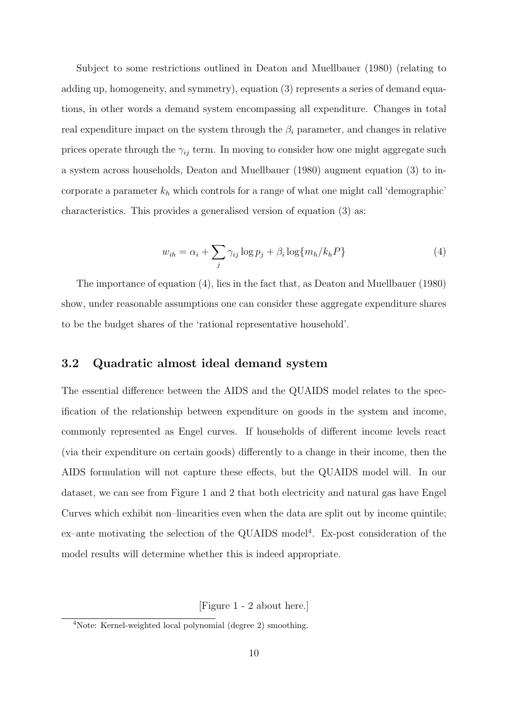Subject to some restrictions outlined in Deaton and Muellbauer (1980) (relating to adding up, homogeneity, and symmetry), equation (3) represents a series of demand equations, in other words a demand system encompassing all expenditure. Changes in total real expenditure impact on the system through the  $\beta_i$  parameter, and changes in relative prices operate through the  $\gamma_{ij}$  term. In moving to consider how one might aggregate such a system across households, Deaton and Muellbauer (1980) augment equation (3) to incorporate a parameter  $k_h$  which controls for a range of what one might call 'demographic' characteristics. This provides a generalised version of equation (3) as:

$$
w_{ih} = \alpha_i + \sum_j \gamma_{ij} \log p_j + \beta_i \log \{m_h / k_h P\}
$$
\n(4)

The importance of equation (4), lies in the fact that, as Deaton and Muellbauer (1980) show, under reasonable assumptions one can consider these aggregate expenditure shares to be the budget shares of the 'rational representative household'.

### 3.2 Quadratic almost ideal demand system

The essential difference between the AIDS and the QUAIDS model relates to the specification of the relationship between expenditure on goods in the system and income, commonly represented as Engel curves. If households of different income levels react (via their expenditure on certain goods) differently to a change in their income, then the AIDS formulation will not capture these effects, but the QUAIDS model will. In our dataset, we can see from Figure 1 and 2 that both electricity and natural gas have Engel Curves which exhibit non–linearities even when the data are split out by income quintile; ex-ante motivating the selection of the QUAIDS model<sup>4</sup>. Ex-post consideration of the model results will determine whether this is indeed appropriate.

[Figure 1 - 2 about here.]

<sup>4</sup>Note: Kernel-weighted local polynomial (degree 2) smoothing.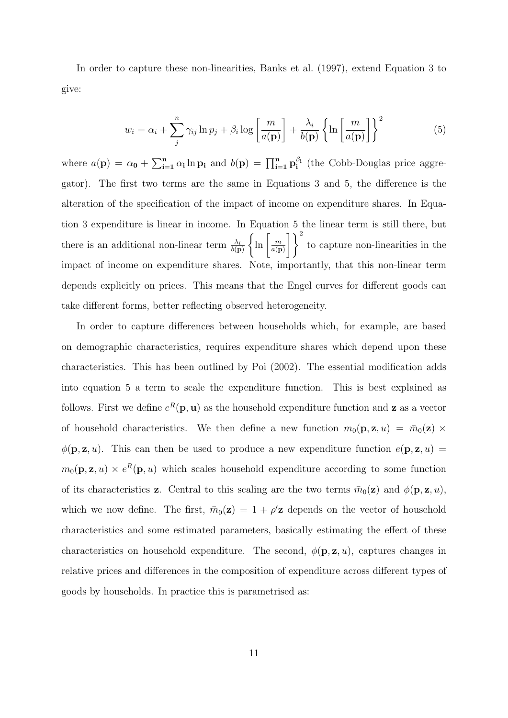In order to capture these non-linearities, Banks et al. (1997), extend Equation 3 to give:

$$
w_i = \alpha_i + \sum_{j}^{n} \gamma_{ij} \ln p_j + \beta_i \log \left[ \frac{m}{a(\mathbf{p})} \right] + \frac{\lambda_i}{b(\mathbf{p})} \left\{ \ln \left[ \frac{m}{a(\mathbf{p})} \right] \right\}^2 \tag{5}
$$

where  $a(\mathbf{p}) = \alpha_0 + \sum_{i=1}^n \alpha_i \ln \mathbf{p}_i$  and  $b(\mathbf{p}) = \prod_{i=1}^n \mathbf{p}_i^{\beta_i}$  $j_i^{\beta_i}$  (the Cobb-Douglas price aggregator). The first two terms are the same in Equations 3 and 5, the difference is the alteration of the specification of the impact of income on expenditure shares. In Equation 3 expenditure is linear in income. In Equation 5 the linear term is still there, but there is an additional non-linear term  $\frac{\lambda_i}{b(\mathbf{p})}$  $\left\{\ln\left[\frac{m}{\sqrt{\kappa}}\right]\right\}$  $a(\mathbf{p})$  $\left| \ \right| ^{2}$ to capture non-linearities in the impact of income on expenditure shares. Note, importantly, that this non-linear term depends explicitly on prices. This means that the Engel curves for different goods can take different forms, better reflecting observed heterogeneity.

In order to capture differences between households which, for example, are based on demographic characteristics, requires expenditure shares which depend upon these characteristics. This has been outlined by Poi (2002). The essential modification adds into equation 5 a term to scale the expenditure function. This is best explained as follows. First we define  $e^R(\mathbf{p}, \mathbf{u})$  as the household expenditure function and **z** as a vector of household characteristics. We then define a new function  $m_0(\mathbf{p}, \mathbf{z}, u) = \bar{m}_0(\mathbf{z}) \times$  $\phi(\mathbf{p}, \mathbf{z}, u)$ . This can then be used to produce a new expenditure function  $e(\mathbf{p}, \mathbf{z}, u)$  $m_0(\mathbf{p}, \mathbf{z}, u) \times e^R(\mathbf{p}, u)$  which scales household expenditure according to some function of its characteristics **z**. Central to this scaling are the two terms  $\bar{m}_0(\mathbf{z})$  and  $\phi(\mathbf{p}, \mathbf{z}, u)$ , which we now define. The first,  $\bar{m}_0(z) = 1 + \rho' z$  depends on the vector of household characteristics and some estimated parameters, basically estimating the effect of these characteristics on household expenditure. The second,  $\phi(\mathbf{p}, \mathbf{z}, u)$ , captures changes in relative prices and differences in the composition of expenditure across different types of goods by households. In practice this is parametrised as: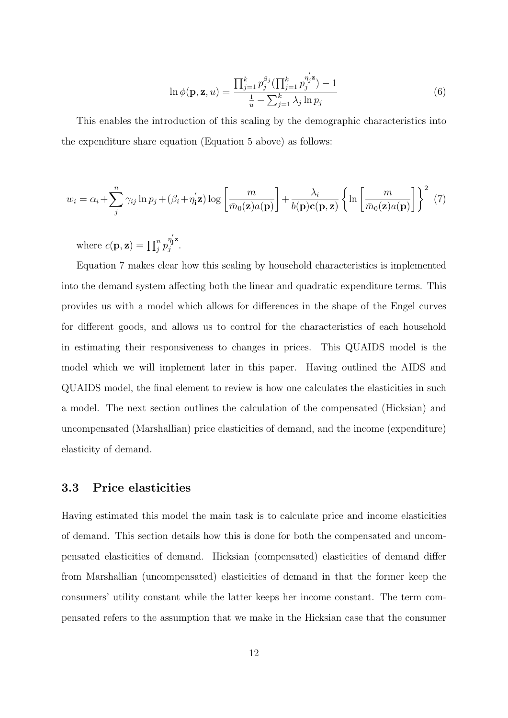$$
\ln \phi(\mathbf{p}, \mathbf{z}, u) = \frac{\prod_{j=1}^{k} p_j^{\beta_j} (\prod_{j=1}^{k} p_j^{\eta'_j \mathbf{z}}) - 1}{\frac{1}{u} - \sum_{j=1}^{k} \lambda_j \ln p_j}
$$
(6)

This enables the introduction of this scaling by the demographic characteristics into the expenditure share equation (Equation 5 above) as follows:

$$
w_i = \alpha_i + \sum_{j}^{n} \gamma_{ij} \ln p_j + (\beta_i + \eta'_i \mathbf{z}) \log \left[ \frac{m}{\bar{m}_0(\mathbf{z}) a(\mathbf{p})} \right] + \frac{\lambda_i}{b(\mathbf{p}) \mathbf{c}(\mathbf{p}, \mathbf{z})} \left\{ \ln \left[ \frac{m}{\bar{m}_0(\mathbf{z}) a(\mathbf{p})} \right] \right\}^2 \tag{7}
$$

where  $c(\mathbf{p}, \mathbf{z}) = \prod_{j}^{n} p_{j}^{n_{j}'}$ j z  $j^{ij}$ .

Equation 7 makes clear how this scaling by household characteristics is implemented into the demand system affecting both the linear and quadratic expenditure terms. This provides us with a model which allows for differences in the shape of the Engel curves for different goods, and allows us to control for the characteristics of each household in estimating their responsiveness to changes in prices. This QUAIDS model is the model which we will implement later in this paper. Having outlined the AIDS and QUAIDS model, the final element to review is how one calculates the elasticities in such a model. The next section outlines the calculation of the compensated (Hicksian) and uncompensated (Marshallian) price elasticities of demand, and the income (expenditure) elasticity of demand.

#### 3.3 Price elasticities

Having estimated this model the main task is to calculate price and income elasticities of demand. This section details how this is done for both the compensated and uncompensated elasticities of demand. Hicksian (compensated) elasticities of demand differ from Marshallian (uncompensated) elasticities of demand in that the former keep the consumers' utility constant while the latter keeps her income constant. The term compensated refers to the assumption that we make in the Hicksian case that the consumer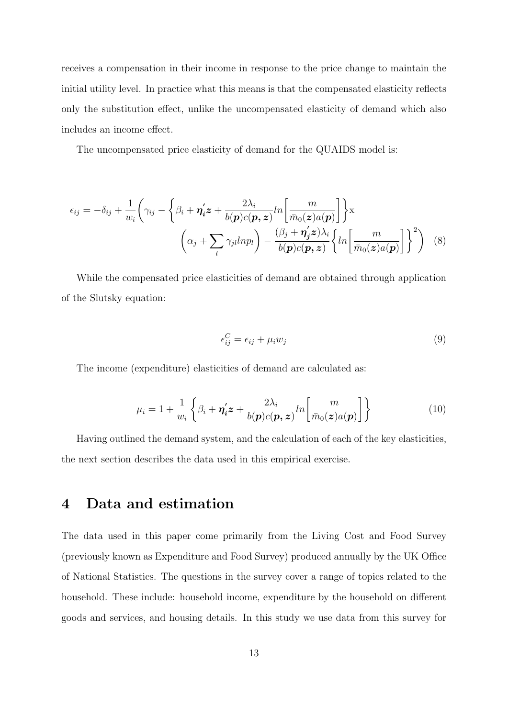receives a compensation in their income in response to the price change to maintain the initial utility level. In practice what this means is that the compensated elasticity reflects only the substitution effect, unlike the uncompensated elasticity of demand which also includes an income effect.

The uncompensated price elasticity of demand for the QUAIDS model is:

$$
\epsilon_{ij} = -\delta_{ij} + \frac{1}{w_i} \left( \gamma_{ij} - \left\{ \beta_i + \eta'_i z + \frac{2\lambda_i}{b(\boldsymbol{p})c(\boldsymbol{p}, \boldsymbol{z})} ln \left[ \frac{m}{\bar{m}_0(\boldsymbol{z})a(\boldsymbol{p})} \right] \right\} \mathbf{x} \n\left( \alpha_j + \sum_l \gamma_{jl} l n p_l \right) - \frac{(\beta_j + \eta'_j \boldsymbol{z})\lambda_i}{b(\boldsymbol{p})c(\boldsymbol{p}, \boldsymbol{z})} \left\{ ln \left[ \frac{m}{\bar{m}_0(\boldsymbol{z})a(\boldsymbol{p})} \right] \right\}^2 \right)
$$
(8)

While the compensated price elasticities of demand are obtained through application of the Slutsky equation:

$$
\epsilon_{ij}^C = \epsilon_{ij} + \mu_i w_j \tag{9}
$$

The income (expenditure) elasticities of demand are calculated as:

$$
\mu_i = 1 + \frac{1}{w_i} \left\{ \beta_i + \eta'_i z + \frac{2\lambda_i}{b(\boldsymbol{p})c(\boldsymbol{p}, z)} ln \left[ \frac{m}{\bar{m}_0(z)a(\boldsymbol{p})} \right] \right\}
$$
(10)

Having outlined the demand system, and the calculation of each of the key elasticities, the next section describes the data used in this empirical exercise.

## 4 Data and estimation

The data used in this paper come primarily from the Living Cost and Food Survey (previously known as Expenditure and Food Survey) produced annually by the UK Office of National Statistics. The questions in the survey cover a range of topics related to the household. These include: household income, expenditure by the household on different goods and services, and housing details. In this study we use data from this survey for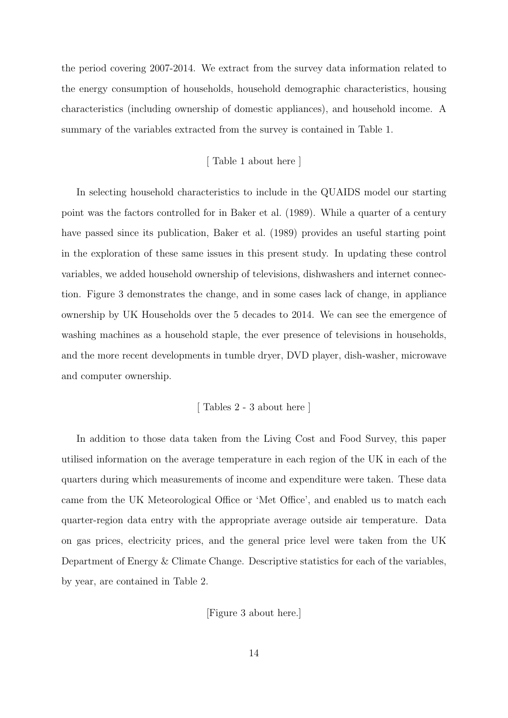the period covering 2007-2014. We extract from the survey data information related to the energy consumption of households, household demographic characteristics, housing characteristics (including ownership of domestic appliances), and household income. A summary of the variables extracted from the survey is contained in Table 1.

#### [ Table 1 about here ]

In selecting household characteristics to include in the QUAIDS model our starting point was the factors controlled for in Baker et al. (1989). While a quarter of a century have passed since its publication, Baker et al. (1989) provides an useful starting point in the exploration of these same issues in this present study. In updating these control variables, we added household ownership of televisions, dishwashers and internet connection. Figure 3 demonstrates the change, and in some cases lack of change, in appliance ownership by UK Households over the 5 decades to 2014. We can see the emergence of washing machines as a household staple, the ever presence of televisions in households, and the more recent developments in tumble dryer, DVD player, dish-washer, microwave and computer ownership.

#### [ Tables 2 - 3 about here ]

In addition to those data taken from the Living Cost and Food Survey, this paper utilised information on the average temperature in each region of the UK in each of the quarters during which measurements of income and expenditure were taken. These data came from the UK Meteorological Office or 'Met Office', and enabled us to match each quarter-region data entry with the appropriate average outside air temperature. Data on gas prices, electricity prices, and the general price level were taken from the UK Department of Energy & Climate Change. Descriptive statistics for each of the variables, by year, are contained in Table 2.

[Figure 3 about here.]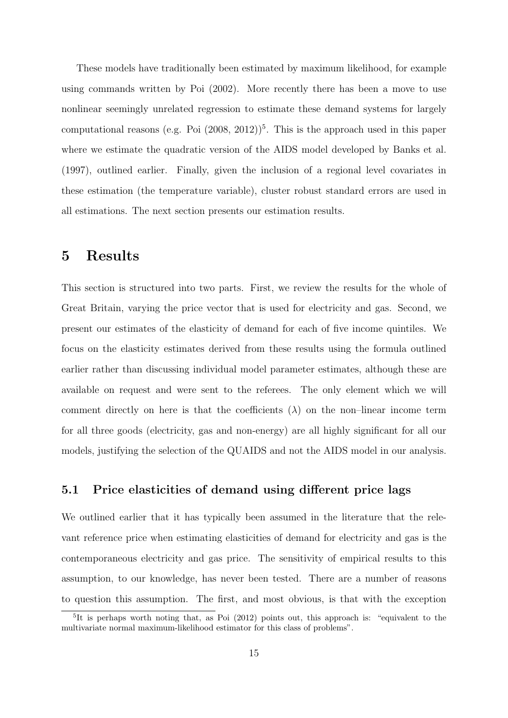These models have traditionally been estimated by maximum likelihood, for example using commands written by Poi (2002). More recently there has been a move to use nonlinear seemingly unrelated regression to estimate these demand systems for largely computational reasons (e.g. Poi  $(2008, 2012)^5$ . This is the approach used in this paper where we estimate the quadratic version of the AIDS model developed by Banks et al. (1997), outlined earlier. Finally, given the inclusion of a regional level covariates in these estimation (the temperature variable), cluster robust standard errors are used in all estimations. The next section presents our estimation results.

## 5 Results

This section is structured into two parts. First, we review the results for the whole of Great Britain, varying the price vector that is used for electricity and gas. Second, we present our estimates of the elasticity of demand for each of five income quintiles. We focus on the elasticity estimates derived from these results using the formula outlined earlier rather than discussing individual model parameter estimates, although these are available on request and were sent to the referees. The only element which we will comment directly on here is that the coefficients  $(\lambda)$  on the non–linear income term for all three goods (electricity, gas and non-energy) are all highly significant for all our models, justifying the selection of the QUAIDS and not the AIDS model in our analysis.

#### 5.1 Price elasticities of demand using different price lags

We outlined earlier that it has typically been assumed in the literature that the relevant reference price when estimating elasticities of demand for electricity and gas is the contemporaneous electricity and gas price. The sensitivity of empirical results to this assumption, to our knowledge, has never been tested. There are a number of reasons to question this assumption. The first, and most obvious, is that with the exception

<sup>&</sup>lt;sup>5</sup>It is perhaps worth noting that, as Poi (2012) points out, this approach is: "equivalent to the multivariate normal maximum-likelihood estimator for this class of problems".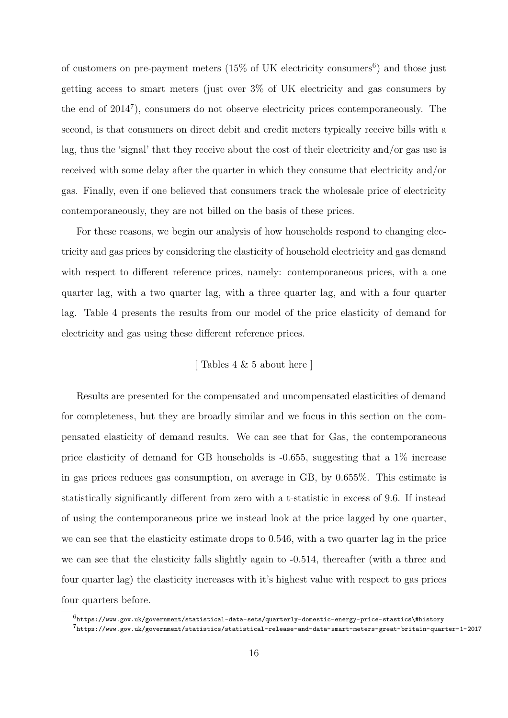of customers on pre-payment meters  $(15\% \text{ of UK electricity consumers}^6)$  and those just getting access to smart meters (just over 3% of UK electricity and gas consumers by the end of  $2014^7$ ), consumers do not observe electricity prices contemporaneously. The second, is that consumers on direct debit and credit meters typically receive bills with a lag, thus the 'signal' that they receive about the cost of their electricity and/or gas use is received with some delay after the quarter in which they consume that electricity and/or gas. Finally, even if one believed that consumers track the wholesale price of electricity contemporaneously, they are not billed on the basis of these prices.

For these reasons, we begin our analysis of how households respond to changing electricity and gas prices by considering the elasticity of household electricity and gas demand with respect to different reference prices, namely: contemporaneous prices, with a one quarter lag, with a two quarter lag, with a three quarter lag, and with a four quarter lag. Table 4 presents the results from our model of the price elasticity of demand for electricity and gas using these different reference prices.

## [ Tables 4 & 5 about here ]

Results are presented for the compensated and uncompensated elasticities of demand for completeness, but they are broadly similar and we focus in this section on the compensated elasticity of demand results. We can see that for Gas, the contemporaneous price elasticity of demand for GB households is -0.655, suggesting that a 1% increase in gas prices reduces gas consumption, on average in GB, by 0.655%. This estimate is statistically significantly different from zero with a t-statistic in excess of 9.6. If instead of using the contemporaneous price we instead look at the price lagged by one quarter, we can see that the elasticity estimate drops to 0.546, with a two quarter lag in the price we can see that the elasticity falls slightly again to -0.514, thereafter (with a three and four quarter lag) the elasticity increases with it's highest value with respect to gas prices four quarters before.

 $^6$ https://www.gov.uk/government/statistical-data-sets/quarterly-domestic-energy-price-stastics\#history 7 https://www.gov.uk/government/statistics/statistical-release-and-data-smart-meters-great-britain-quarter-1-2017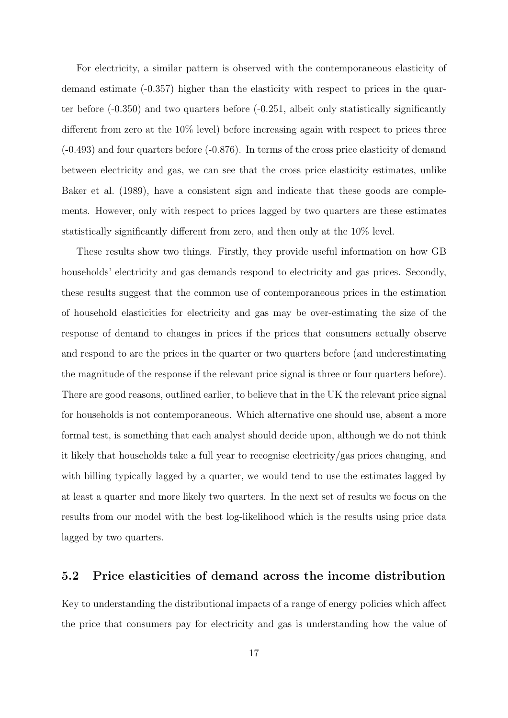For electricity, a similar pattern is observed with the contemporaneous elasticity of demand estimate (-0.357) higher than the elasticity with respect to prices in the quarter before (-0.350) and two quarters before (-0.251, albeit only statistically significantly different from zero at the  $10\%$  level) before increasing again with respect to prices three (-0.493) and four quarters before (-0.876). In terms of the cross price elasticity of demand between electricity and gas, we can see that the cross price elasticity estimates, unlike Baker et al. (1989), have a consistent sign and indicate that these goods are complements. However, only with respect to prices lagged by two quarters are these estimates statistically significantly different from zero, and then only at the 10% level.

These results show two things. Firstly, they provide useful information on how GB households' electricity and gas demands respond to electricity and gas prices. Secondly, these results suggest that the common use of contemporaneous prices in the estimation of household elasticities for electricity and gas may be over-estimating the size of the response of demand to changes in prices if the prices that consumers actually observe and respond to are the prices in the quarter or two quarters before (and underestimating the magnitude of the response if the relevant price signal is three or four quarters before). There are good reasons, outlined earlier, to believe that in the UK the relevant price signal for households is not contemporaneous. Which alternative one should use, absent a more formal test, is something that each analyst should decide upon, although we do not think it likely that households take a full year to recognise electricity/gas prices changing, and with billing typically lagged by a quarter, we would tend to use the estimates lagged by at least a quarter and more likely two quarters. In the next set of results we focus on the results from our model with the best log-likelihood which is the results using price data lagged by two quarters.

#### 5.2 Price elasticities of demand across the income distribution

Key to understanding the distributional impacts of a range of energy policies which affect the price that consumers pay for electricity and gas is understanding how the value of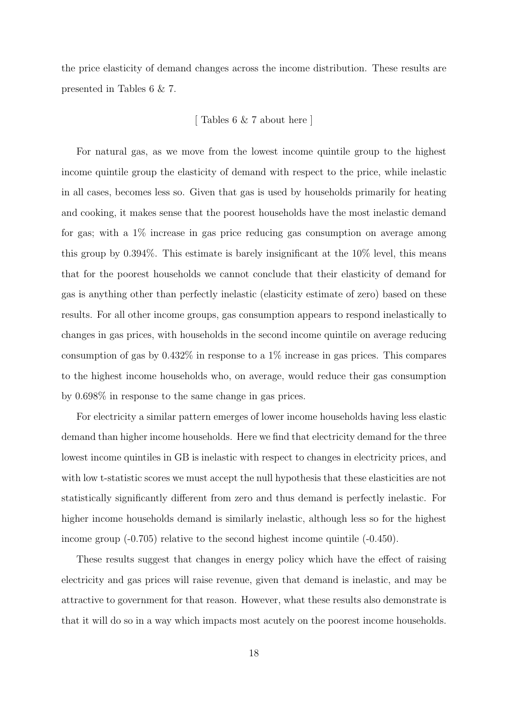the price elasticity of demand changes across the income distribution. These results are presented in Tables 6 & 7.

#### [ Tables 6 & 7 about here ]

For natural gas, as we move from the lowest income quintile group to the highest income quintile group the elasticity of demand with respect to the price, while inelastic in all cases, becomes less so. Given that gas is used by households primarily for heating and cooking, it makes sense that the poorest households have the most inelastic demand for gas; with a 1% increase in gas price reducing gas consumption on average among this group by 0.394%. This estimate is barely insignificant at the 10% level, this means that for the poorest households we cannot conclude that their elasticity of demand for gas is anything other than perfectly inelastic (elasticity estimate of zero) based on these results. For all other income groups, gas consumption appears to respond inelastically to changes in gas prices, with households in the second income quintile on average reducing consumption of gas by 0.432% in response to a 1% increase in gas prices. This compares to the highest income households who, on average, would reduce their gas consumption by 0.698% in response to the same change in gas prices.

For electricity a similar pattern emerges of lower income households having less elastic demand than higher income households. Here we find that electricity demand for the three lowest income quintiles in GB is inelastic with respect to changes in electricity prices, and with low t-statistic scores we must accept the null hypothesis that these elasticities are not statistically significantly different from zero and thus demand is perfectly inelastic. For higher income households demand is similarly inelastic, although less so for the highest income group (-0.705) relative to the second highest income quintile (-0.450).

These results suggest that changes in energy policy which have the effect of raising electricity and gas prices will raise revenue, given that demand is inelastic, and may be attractive to government for that reason. However, what these results also demonstrate is that it will do so in a way which impacts most acutely on the poorest income households.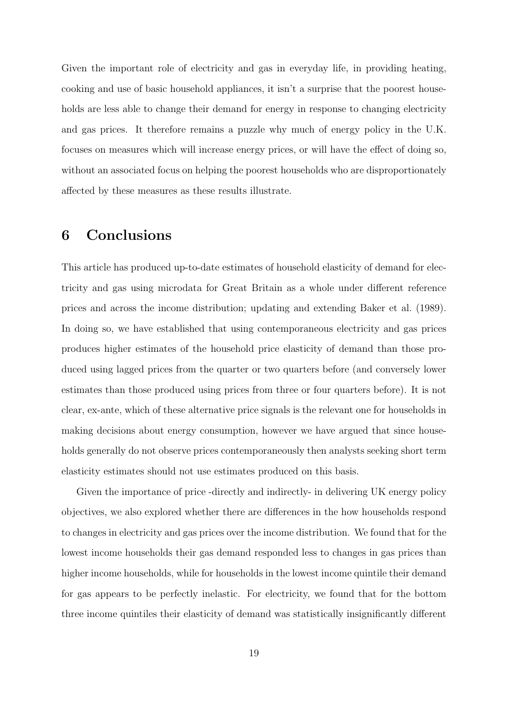Given the important role of electricity and gas in everyday life, in providing heating, cooking and use of basic household appliances, it isn't a surprise that the poorest households are less able to change their demand for energy in response to changing electricity and gas prices. It therefore remains a puzzle why much of energy policy in the U.K. focuses on measures which will increase energy prices, or will have the effect of doing so, without an associated focus on helping the poorest households who are disproportionately affected by these measures as these results illustrate.

## 6 Conclusions

This article has produced up-to-date estimates of household elasticity of demand for electricity and gas using microdata for Great Britain as a whole under different reference prices and across the income distribution; updating and extending Baker et al. (1989). In doing so, we have established that using contemporaneous electricity and gas prices produces higher estimates of the household price elasticity of demand than those produced using lagged prices from the quarter or two quarters before (and conversely lower estimates than those produced using prices from three or four quarters before). It is not clear, ex-ante, which of these alternative price signals is the relevant one for households in making decisions about energy consumption, however we have argued that since households generally do not observe prices contemporaneously then analysts seeking short term elasticity estimates should not use estimates produced on this basis.

Given the importance of price -directly and indirectly- in delivering UK energy policy objectives, we also explored whether there are differences in the how households respond to changes in electricity and gas prices over the income distribution. We found that for the lowest income households their gas demand responded less to changes in gas prices than higher income households, while for households in the lowest income quintile their demand for gas appears to be perfectly inelastic. For electricity, we found that for the bottom three income quintiles their elasticity of demand was statistically insignificantly different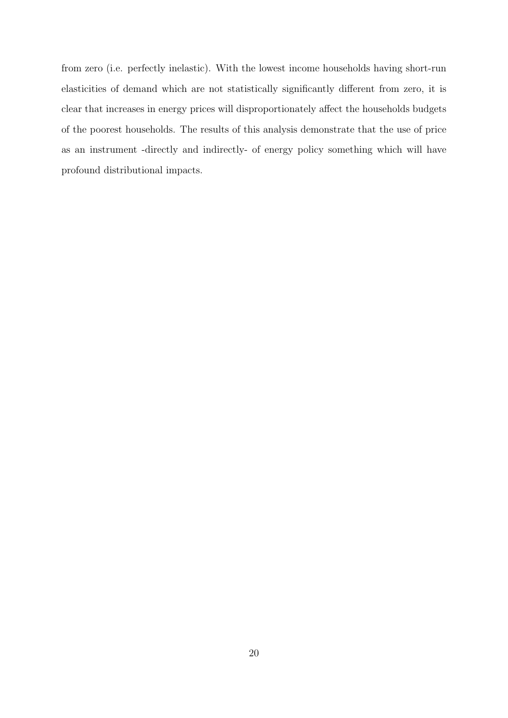from zero (i.e. perfectly inelastic). With the lowest income households having short-run elasticities of demand which are not statistically significantly different from zero, it is clear that increases in energy prices will disproportionately affect the households budgets of the poorest households. The results of this analysis demonstrate that the use of price as an instrument -directly and indirectly- of energy policy something which will have profound distributional impacts.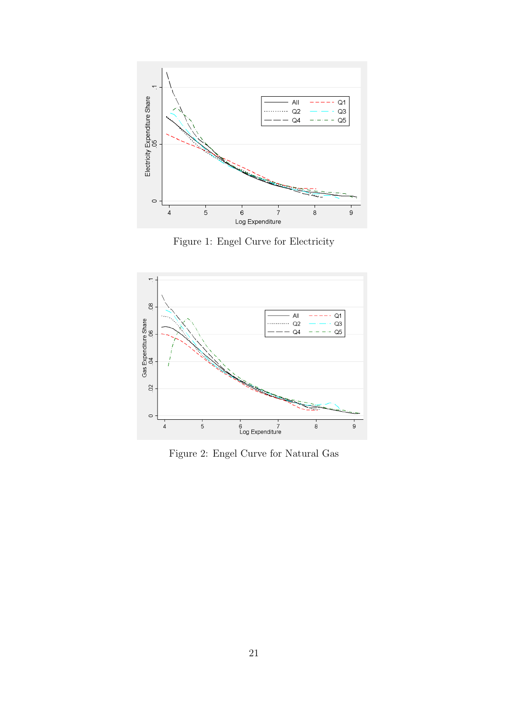

Figure 1: Engel Curve for Electricity



Figure 2: Engel Curve for Natural Gas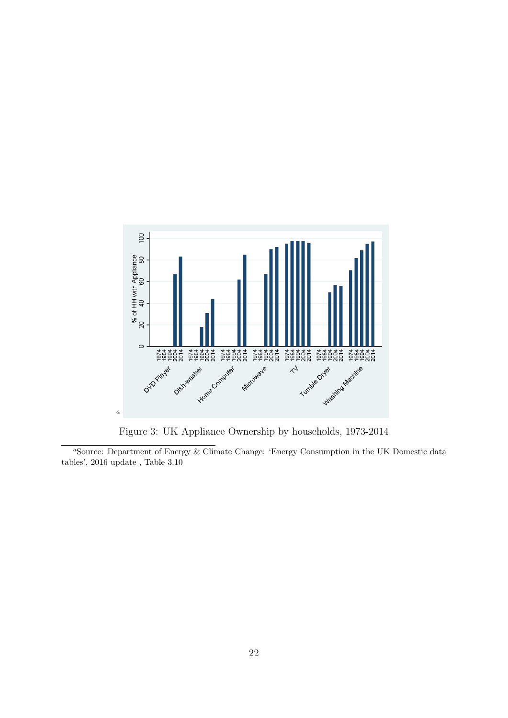

Figure 3: UK Appliance Ownership by households, 1973-2014

<sup>a</sup>Source: Department of Energy & Climate Change: 'Energy Consumption in the UK Domestic data tables', 2016 update , Table 3.10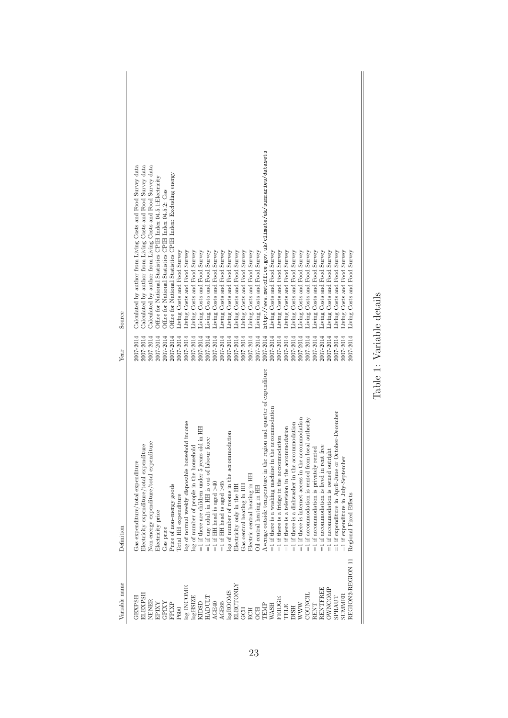| Variable name     | Definition                                                           | Year      | Source                                                       |
|-------------------|----------------------------------------------------------------------|-----------|--------------------------------------------------------------|
|                   |                                                                      |           |                                                              |
| <b>GEXPSH</b>     | Gas expenditure/total expenditure                                    | 2007-2014 | Calculated by author from Living Costs and Food Survey data  |
| ELEXPSH           | Electricity expenditure/total expenditure                            | 2007-2014 | Calculated by author from Living Costs and Food Survey data  |
| NENER             | Non-energy expenditure/total expenditure                             | 2007-2014 | Calculated by author from Living Costs and Food Survey data  |
| EPIXY             | Electricity price                                                    | 2007-2014 | Office for National Statistics CPIH Index 04.5.1:Electricity |
| <b>GPIXY</b>      | Gas price                                                            | 2007-2014 | Office for National Statistics CPIH Index 04.5.2: Gas        |
| FPIXP             | Price of non-energy goods                                            | 2007-2014 | Office for National Statistics CPIH Index: Excluding energy  |
| P600              | <b>Cotal HH</b> expenditure                                          | 2007-2014 | Living Costs and Food Survey                                 |
| log INCOME        | log of normal weekly disposable household income                     | 2007-2014 | Living Costs and Food Survey                                 |
| $log$ HSIZE       | log of number of people in the household                             | 2007-2014 | Survey<br>Living Costs and Food                              |
| KIDSD             | $=$ 1 if there are children under 5 years old in HH                  | 2007-2014 | Living Costs and Food Survey                                 |
| HADULT            | =1 if any adult in HH is out of labour force                         | 2007-2014 | Living Costs and Food Survey                                 |
| AGE40             | =1 if HH head is aged $>40$                                          | 2007-2014 | Living Costs and Food Survey                                 |
| AGE65             | =1 if HH head is aged $>65$                                          | 2007-2014 | Living Costs and Food Survey                                 |
| logROOMS          | log of number of rooms in the accommodation                          | 2007-2014 | Living Costs and Food Survey                                 |
| ELECTONLY         | dectricity only in the HH                                            | 2007-2014 | Living Costs and Food Survey                                 |
| <b>GCH</b>        | Gas central heating in HH                                            | 2007-2014 | Living Costs and Food Survey                                 |
| ECH               | Electric central heating in HH                                       | 2007-2014 | Living Costs and Food Survey                                 |
| <b>OCH</b>        | Oil central heating in HH                                            | 2007-2014 | Living Costs and Food Survey                                 |
| TEMP              | Average outside temperature in the region and quarter of expenditure | 2007-2014 | http://www.metoffice.gov.uk/climate/uk/summaries/datasets    |
| <b>WASH</b>       | accommodation<br>$=1$ if there is a washing machine in the           | 2007-2014 | Living Costs and Food Survey                                 |
| <b>FRIDGE</b>     | =1 if there is a fridge in the accommodation                         | 2007-2014 | Living Costs and Food Survey                                 |
| <b>TELE</b>       | $=1$ if there is a television in the accommodation                   | 2007-2014 | Living Costs and Food Survey                                 |
| <b>DISH</b>       | $=1$ if there is a dishwasher in the accommodation                   | 2007-2014 | Survey<br>Living Costs and Food                              |
| WWW               | $=1$ if there is internet access in the accommodation                | 2007-2014 | Survey<br>Living Costs and Food                              |
| COUNCIL           | $=1$ if accommodation is rented from local authority                 | 2007-2014 | Living Costs and Food Survey                                 |
| RENT              | =1 if accommodation is privately rented                              | 2007-2014 | Living Costs and Food Survey                                 |
| RENTFREE          | $=1$ if accommodation is lived in rent free                          | 2007-2014 | Living Costs and Food Survey                                 |
| OWNCOMP           | $=1$ if accommodation is owned outright                              | 2007-2014 | Living Costs and Food Survey                                 |
| SPRAUT            | =1 if expenditure in April-June or October-December                  | 2007-2014 | living Costs and Food Survey                                 |
| SUMMER            | =1 if expenditure in July-September                                  | 2007-2014 | Survey<br>living Costs and Food                              |
| REGION2-REGION 1. | Regional Fixed Effects                                               | 2007-2014 | Survey<br>Living Costs and Food                              |
|                   |                                                                      |           |                                                              |
|                   |                                                                      |           |                                                              |

| $\overline{c}$<br>$\frac{1}{2}$<br>ī |  |
|--------------------------------------|--|
| $\overline{\mathbf{r}}$<br>aria.     |  |
| ſ<br>۳                               |  |
| $\tilde{\epsilon}$                   |  |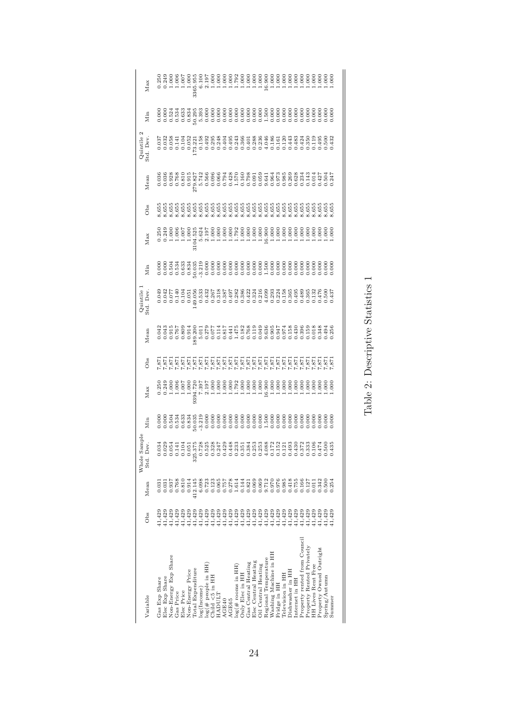| Variable                                        | Obs    | Mean                                                                                  | Whole Sample<br>Std. Dev. | Min | Max | Obs                                                                                                                                                                                    | Mean | Quintile<br>3td. Dev | Min | Max | ðbs | Mean | Quintile<br>3td. Dev | Min | Max |
|-------------------------------------------------|--------|---------------------------------------------------------------------------------------|---------------------------|-----|-----|----------------------------------------------------------------------------------------------------------------------------------------------------------------------------------------|------|----------------------|-----|-----|-----|------|----------------------|-----|-----|
| Gas Exp Share                                   | 41,429 | 0.03                                                                                  |                           |     |     |                                                                                                                                                                                        |      |                      |     |     |     |      |                      |     |     |
| Elec Exp Share                                  | 41,429 | 0.031                                                                                 |                           |     |     |                                                                                                                                                                                        |      |                      |     |     |     |      |                      |     |     |
| Non-Energy Exp Share                            |        | 894:0<br>189                                                                          |                           |     |     |                                                                                                                                                                                        |      |                      |     |     |     |      |                      |     |     |
| Gas Price                                       |        |                                                                                       |                           |     |     |                                                                                                                                                                                        |      |                      |     |     |     |      |                      |     |     |
| Elec Price                                      |        | 0.810                                                                                 |                           |     |     |                                                                                                                                                                                        |      |                      |     |     |     |      |                      |     |     |
| Non-Energy Price                                |        | 0.914                                                                                 |                           |     |     |                                                                                                                                                                                        |      |                      |     |     |     |      |                      |     |     |
| Total Expenditure                               |        | 412.145                                                                               |                           |     |     | האימיאי איילא איילא איילא איילא איילא איילא איילא<br>איילא איילא איילא איילא איילא איילא איילא איילא איילא איילא איילא<br>האיילא איילא איילא איילא איילא איילא איילא איילא איילא איילא |      |                      |     |     |     |      |                      |     |     |
| log(Income)                                     |        | 6.098<br>0.723                                                                        |                           |     |     |                                                                                                                                                                                        |      |                      |     |     |     |      |                      |     |     |
| log(# people in HH)<br>Child <5 in HH<br>HADULT |        |                                                                                       |                           |     |     |                                                                                                                                                                                        |      |                      |     |     |     |      |                      |     |     |
|                                                 |        | 0.123                                                                                 |                           |     |     |                                                                                                                                                                                        |      |                      |     |     |     |      |                      |     |     |
|                                                 |        | 0.065                                                                                 |                           |     |     |                                                                                                                                                                                        |      |                      |     |     |     |      |                      |     |     |
| AGE40                                           |        | 0.757                                                                                 |                           |     |     |                                                                                                                                                                                        |      |                      |     |     |     |      |                      |     |     |
| AGE65                                           |        | 0.278                                                                                 |                           |     |     |                                                                                                                                                                                        |      |                      |     |     |     |      |                      |     |     |
| $\log(\text{\# rooms in HH})$                   |        | 1.614                                                                                 |                           |     |     |                                                                                                                                                                                        |      |                      |     |     |     |      |                      |     |     |
| Only Elec in HH                                 |        | 0.144                                                                                 |                           |     |     |                                                                                                                                                                                        |      |                      |     |     |     |      |                      |     |     |
| Gas Central Heating                             |        | 0.821                                                                                 |                           |     |     |                                                                                                                                                                                        |      |                      |     |     |     |      |                      |     |     |
| Elec Central Heating                            |        | 0.069                                                                                 |                           |     |     |                                                                                                                                                                                        |      |                      |     |     |     |      |                      |     |     |
| Oil Central Heating                             |        | 0.069                                                                                 |                           |     |     |                                                                                                                                                                                        |      |                      |     |     |     |      |                      |     |     |
| Regional Temperature                            |        |                                                                                       |                           |     |     |                                                                                                                                                                                        |      |                      |     |     |     |      |                      |     |     |
| Washing Machine in HH                           |        | 9.712<br>0.976<br>0.985                                                               |                           |     |     |                                                                                                                                                                                        |      |                      |     |     |     |      |                      |     |     |
| Fridge in HH                                    |        |                                                                                       |                           |     |     |                                                                                                                                                                                        |      |                      |     |     |     |      |                      |     |     |
| Television in HH                                |        |                                                                                       |                           |     |     |                                                                                                                                                                                        |      |                      |     |     |     |      |                      |     |     |
| Dishwasher in HH                                |        | $\begin{array}{c} 0.418 \\ 0.755 \\ 0.1466 \\ 0.127 \\ 0.011 \\ 0.011 \\ \end{array}$ |                           |     |     |                                                                                                                                                                                        |      |                      |     |     |     |      |                      |     |     |
| Internet in HH                                  |        |                                                                                       |                           |     |     |                                                                                                                                                                                        |      |                      |     |     |     |      |                      |     |     |
| Property rented from Council                    |        |                                                                                       |                           |     |     |                                                                                                                                                                                        |      |                      |     |     |     |      |                      |     |     |
| Property Rented Privately                       |        |                                                                                       |                           |     |     |                                                                                                                                                                                        |      |                      |     |     |     |      |                      |     |     |
| <b>HH Lives Rent Free</b>                       |        |                                                                                       |                           |     |     |                                                                                                                                                                                        |      |                      |     |     |     |      |                      |     |     |
| Property Owned Outright                         |        | 0.342                                                                                 |                           |     |     |                                                                                                                                                                                        |      |                      |     |     |     |      |                      |     |     |
| $Spring/A$ utumn                                |        | 0.500                                                                                 |                           |     |     |                                                                                                                                                                                        |      |                      |     |     |     |      |                      |     |     |
| Summer                                          | 11,429 | 0.254                                                                                 |                           |     |     |                                                                                                                                                                                        |      |                      |     |     |     |      |                      |     |     |
|                                                 |        |                                                                                       |                           |     |     |                                                                                                                                                                                        |      |                      |     |     |     |      |                      |     |     |

Table 2: Descriptive Statistics  $1$ Table 2: Descriptive Statistics 1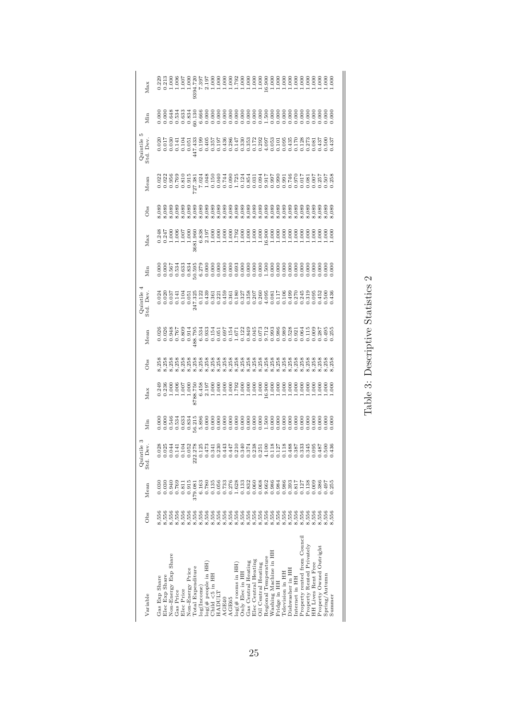| Variable                       | Obs                     | Mean                                                            | Quintile :<br>Std. Dev. | Min | Max | O <sub>bs</sub> | Mean | Quintile<br>3td. Dev. | Min | Max | O <sub>bs</sub> | Mean | Quintile<br>3td. Dev.                                                                                                                                                                                                                                                          | Min | Max |
|--------------------------------|-------------------------|-----------------------------------------------------------------|-------------------------|-----|-----|-----------------|------|-----------------------|-----|-----|-----------------|------|--------------------------------------------------------------------------------------------------------------------------------------------------------------------------------------------------------------------------------------------------------------------------------|-----|-----|
| Gas Exp Share                  | 8,556                   | 0.03(                                                           |                         |     |     |                 |      |                       |     |     |                 |      |                                                                                                                                                                                                                                                                                |     |     |
| Elec Exp Share                 |                         |                                                                 |                         |     |     |                 |      |                       |     |     |                 |      |                                                                                                                                                                                                                                                                                |     |     |
| Non-Energy Exp Share           |                         | 39410<br>0.940<br>0.769                                         |                         |     |     |                 |      |                       |     |     |                 |      |                                                                                                                                                                                                                                                                                |     |     |
| Gas Price                      |                         |                                                                 |                         |     |     |                 |      |                       |     |     |                 |      |                                                                                                                                                                                                                                                                                |     |     |
| Elec Price                     |                         | 0.811                                                           |                         |     |     |                 |      |                       |     |     |                 |      |                                                                                                                                                                                                                                                                                |     |     |
| Non-Energy Price               |                         | 0.915                                                           |                         |     |     |                 |      |                       |     |     |                 |      |                                                                                                                                                                                                                                                                                |     |     |
| Total Expenditure              |                         | 379.081                                                         |                         |     |     |                 |      |                       |     |     |                 |      | $\begin{smallmatrix} 81.5 & 84.7 & 86.7 & 86.7 & 87.8 & 88.7 & 87.8 & 88.7 & 87.8 & 88.7 & 88.7 & 88.7 & 88.7 & 88.7 & 88.7 & 88.7 & 88.7 & 88.7 & 88.7 & 88.7 & 88.7 & 88.7 & 88.7 & 88.7 & 88.7 & 88.7 & 88.7 & 88.7 & 88.7 & 88.7 & 88.7 & 88.7 & 88.7 & 88.7 & 88.7 & 88.$ |     |     |
| log(Income)                    |                         | $\begin{array}{c} 6.163 \\ 0.780 \end{array}$                   |                         |     |     |                 |      |                       |     |     |                 |      |                                                                                                                                                                                                                                                                                |     |     |
| $log(\# \text{ people in HH})$ |                         |                                                                 |                         |     |     |                 |      |                       |     |     |                 |      |                                                                                                                                                                                                                                                                                |     |     |
| Child $< 5$ in HH              |                         | 0.135                                                           |                         |     |     |                 |      |                       |     |     |                 |      |                                                                                                                                                                                                                                                                                |     |     |
| HADULT                         |                         | 0.056<br>0.733                                                  |                         |     |     |                 |      |                       |     |     |                 |      |                                                                                                                                                                                                                                                                                |     |     |
| AGE40                          |                         |                                                                 |                         |     |     |                 |      |                       |     |     |                 |      |                                                                                                                                                                                                                                                                                |     |     |
| AGE65                          |                         | $0.278$<br>0.033<br>0.000<br>0.000                              |                         |     |     |                 |      |                       |     |     |                 |      |                                                                                                                                                                                                                                                                                |     |     |
| $log($ # rooms in HH           |                         |                                                                 |                         |     |     |                 |      |                       |     |     |                 |      |                                                                                                                                                                                                                                                                                |     |     |
| Only Elec in HH                |                         |                                                                 |                         |     |     |                 |      |                       |     |     |                 |      |                                                                                                                                                                                                                                                                                |     |     |
| Gas Central Heating            |                         |                                                                 |                         |     |     |                 |      |                       |     |     |                 |      |                                                                                                                                                                                                                                                                                |     |     |
| Elec Central Heating           |                         |                                                                 |                         |     |     |                 |      |                       |     |     |                 |      |                                                                                                                                                                                                                                                                                |     |     |
| Oil Central Heating            |                         |                                                                 |                         |     |     |                 |      |                       |     |     |                 |      |                                                                                                                                                                                                                                                                                |     |     |
| Regional Temperature           |                         |                                                                 |                         |     |     |                 |      |                       |     |     |                 |      |                                                                                                                                                                                                                                                                                |     |     |
| Washing Machine in HH          |                         | 0682<br>0.6623<br>0.0.0.0.0.0<br>0.0.0.0.0                      |                         |     |     |                 |      |                       |     |     |                 |      |                                                                                                                                                                                                                                                                                |     |     |
| Fridge in HH                   |                         |                                                                 |                         |     |     |                 |      |                       |     |     |                 |      |                                                                                                                                                                                                                                                                                |     |     |
| Television in HH               |                         |                                                                 |                         |     |     |                 |      |                       |     |     |                 |      |                                                                                                                                                                                                                                                                                |     |     |
| Dishwasher in HH               |                         |                                                                 |                         |     |     |                 |      |                       |     |     |                 |      |                                                                                                                                                                                                                                                                                |     |     |
| Internet in HH                 |                         |                                                                 |                         |     |     |                 |      |                       |     |     |                 |      |                                                                                                                                                                                                                                                                                |     |     |
| Property rented from Council   | 8,556<br>8,556<br>8,556 |                                                                 |                         |     |     |                 |      |                       |     |     |                 |      |                                                                                                                                                                                                                                                                                |     |     |
| Property Rented Privately      |                         | $\begin{array}{c} 0.817 \\ 0.127 \\ 0.138 \\ 0.009 \end{array}$ |                         |     |     |                 |      |                       |     |     |                 |      |                                                                                                                                                                                                                                                                                |     |     |
| <b>HH Lives Rent Free</b>      | 8,556                   |                                                                 |                         |     |     |                 |      |                       |     |     |                 |      |                                                                                                                                                                                                                                                                                |     |     |
| Property Owned Outright        | 8,556                   | 0.386                                                           |                         |     |     |                 |      |                       |     |     |                 |      |                                                                                                                                                                                                                                                                                |     |     |
| $Spring/A$ utumn               | 8,556                   | 1.497                                                           |                         |     |     |                 |      |                       |     |     |                 |      |                                                                                                                                                                                                                                                                                |     |     |
| Summer                         | ,556                    | 0.255                                                           |                         |     |     |                 |      |                       |     |     |                 |      |                                                                                                                                                                                                                                                                                |     |     |
|                                |                         |                                                                 |                         |     |     |                 |      |                       |     |     |                 |      |                                                                                                                                                                                                                                                                                |     |     |

Table 3: Descriptive Statistics  $2$ Table 3: Descriptive Statistics 2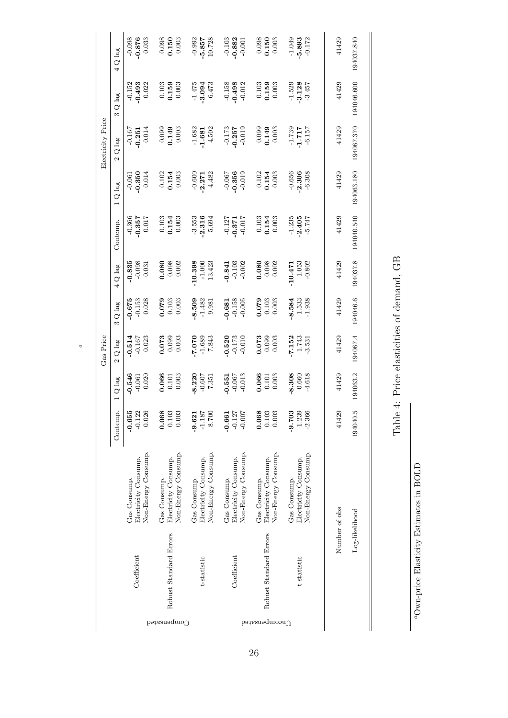|                   | Q lag                       | $-0.876$<br>878.0-<br>$-0.152$ | $-0.493$             | 0.033<br>0.022      |              | $\begin{array}{c} 0.098 \\ 0.150 \end{array}$<br>$\begin{array}{c} 0.103 \\ 0.159 \end{array}$ | 0.003<br>0.003      | $-0.992$     | $-5.857$<br>$-1.475$<br>$-3.094$ | 10.728<br>6.473     | $-0.103$<br>$-0.158$ | $-0.882$             | $-0.001$<br>$-0.498$<br>$-0.012$ |               | 0.150                  | 0.003<br>$\begin{array}{c} 0.103 \\ 0.159 \\ 0.003 \end{array}$ | $-1.049$     | 5.893<br>$-1.529$<br>$-3.128$ | $-0.172$<br>$-3.457$ | 41429<br>41429 | 194037.840               |
|-------------------|-----------------------------|--------------------------------|----------------------|---------------------|--------------|------------------------------------------------------------------------------------------------|---------------------|--------------|----------------------------------|---------------------|----------------------|----------------------|----------------------------------|---------------|------------------------|-----------------------------------------------------------------|--------------|-------------------------------|----------------------|----------------|--------------------------|
| Electricity Price | Q lag<br>S<br>Q lag         | $-0.167$<br>$-0.251$           |                      | 0.014               |              | $0.149$<br>0.149                                                                               | 0.003               | $-1.682$     | $-1.681$                         | 4.502               |                      | $-0.173$<br>$-0.257$ | $-0.019$                         | 0.099         |                        | $0.149$<br>$0.003$                                              | $-1.739$     | $-1.717$                      | $-6.157$             | 41429          | 194046.600<br>194067.370 |
|                   | Q lag                       | $-0.061$<br>$-0.350$           |                      | 0.014               |              | $\frac{0.102}{0.154}$                                                                          | 0.003               | $-0.600$     |                                  | $-2.271$<br>4.482   | $-0.067$             | $-0.356$             | $-0.019$                         |               |                        | $\frac{0.102}{0.154}$                                           | $-0.656$     | $-2.306$                      | $-6.308$             | 41429          | 194063.180               |
|                   | Contemp.                    | $-0.366$                       | $-0.357$             | 0.017               |              | $\frac{0.103}{0.154}$                                                                          | 0.003               | $-3.553$     | $-2.316$                         | 5.694               | $-0.127$             |                      | $-0.371$                         |               | $\frac{0.103}{0.154}$  | 0.003                                                           | $-1.235$     | $-2.405$                      | $-5.747$             | 41429          | 194040.540               |
|                   | Q lag                       | $-0.835$                       | $-0.098$             | 0.031               |              | $0.080$<br>0.090                                                                               | 0.002               | 10.398       | $-1.000$                         | 13.423              | $-0.841$             |                      | $-0.103$<br>$-0.002$             | 0.080         | 0.098                  | 0.002                                                           | $-10.471$    | $-1.053$                      | $-0.802$             | 41429          | 194037.8                 |
|                   | Q lag<br>S                  | $-0.675$                       | $-0.153$             | 0.028               |              | 0.103                                                                                          | 0.003               | 8.509        | $-1.482$                         | 9.981               | 0.681                | $-0.158$             | $-0.005$                         | 0.079         | 0.103                  | 0.003                                                           | 8.584        | $-1.533$                      | 1.938                | 41429          | 194046.6                 |
| Gas Price         | Q lag<br>$\mathbf{\hat{c}}$ | $-0.514$<br>$-0.167$           |                      | 0.023               |              | $0.073$<br>0.099                                                                               | 0.003               | 010.7        |                                  | $-1.689$<br>7.843   | 0.520                |                      | $-0.173$<br>$-0.010$             | 0.073         | 0.099                  | 0.003                                                           | 7.152        | $-1.743$                      | $-3.531$             | 41429          | 194067.4                 |
|                   | Q lag                       | $-0.546$                       | $-0.061$             | 0.020               |              | $\begin{array}{c} 0.066 \\ 0.101 \end{array}$                                                  | 0.003               | $-8.220$     | $-0.607$                         | 7.351               | $-0.551$             | $-0.067$             | $-0.013$                         | 0.066         | 0.101                  | 0.003                                                           | 8.308        | $-0.660$                      | $-4.618$             | 41429          | 194063.2                 |
|                   | Contemp.                    | $-0.655$                       | $-0.122$             | 0.026               | 0.068        | $0.103\,$                                                                                      | 0.003               | $-9.621$     | $-1.187$                         | 8.700               | $-0.661$             | $-0.127$             | $-0.007$                         | 0.068         | 0.103                  | 0.003                                                           | $-9.703$     | $-1.239$                      | $-2.366$             | 41429          | 194040.5                 |
|                   |                             | Gas Consump.                   | Electricity Consump. | Non-Energy Consump. | Gas Consump. | Electricity Consump.                                                                           | Non-Energy Consump. | Gas Consump. | Electricity Consump.             | Non-Energy Consump. | Gas Consump.         | Electricity Consump. | Non-Energy Consump.              | Gas Consump.  | Electricity Consump.   | Non-Energy Consump.                                             | Gas Consump. | Electricity Consump.          | Non-Energy Consump.  |                |                          |
|                   |                             |                                | Coefficient          |                     |              | Robust Standard Errors                                                                         |                     |              | t-statistic                      |                     |                      | Coefficient          |                                  |               | Robust Standard Errors |                                                                 |              | t-statistic                   |                      | Number of obs  | Log-likelihood           |
|                   |                             |                                |                      |                     |              |                                                                                                | Compensated         |              |                                  |                     |                      |                      |                                  | $p$ apensated |                        |                                                                 |              |                               |                      |                |                          |

a

Table 4: Price elasticities of demand, GB Table 4: Price elasticities of demand, GB

> $^a\mathrm{Own}\text{-}\mathrm{price}$ Elasticity Estimates in BOLD aOwn-price Elasticity Estimates in BOLD

 $\parallel$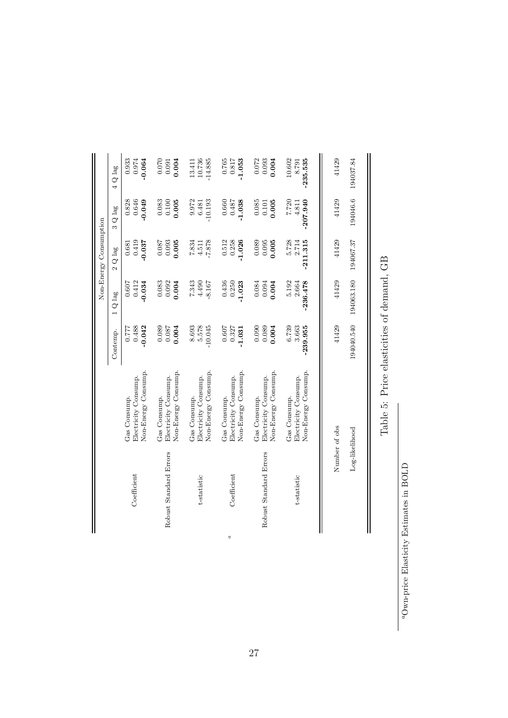|                        | $4Q$ lag         | 0.933<br>$-0.064$<br>0.974                                  | 0.070<br>0.004<br>0.091                                     | 10.736<br>$-14.885$<br>13.411                               | 0.765<br>0.817<br>$-1.053$                                  | 0.072<br>0.004<br>0.093                                     | 10.602<br>$-235.535$<br>8.791                               | 41429         | 194037.84      |
|------------------------|------------------|-------------------------------------------------------------|-------------------------------------------------------------|-------------------------------------------------------------|-------------------------------------------------------------|-------------------------------------------------------------|-------------------------------------------------------------|---------------|----------------|
|                        | $3 Q$ lag        | 0.646<br>0.828<br>$-0.049$                                  | 0.083<br>0.100<br>0.005                                     | 9.972<br>10.193<br>6.481                                    | 0.660<br>0.487<br>$-1.038$                                  | 0.085<br>0.005<br>0.101                                     | 7.720<br>$-207.940$<br>4.811                                | 41429         | 194046.6       |
| Non-Energy Consumption | Q lag            | 0.419<br>$-0.037$<br>0.681                                  | 0.093<br>0.005<br>0.087                                     | 7.834<br>$-7.878$<br>4.511                                  | 0.512<br>0.258<br>$-1.026$                                  | 0.089<br>0.095<br>0.005                                     | 5.728<br>$-211.315$<br>2.714                                | 41429         | 194067.37      |
|                        | $1\,$ Q $\,$ lag | 0.412<br>$-0.034$<br>0.607                                  | 0.083<br>0.092<br>0.004                                     | 7.343<br>4.490<br>$-8.167$                                  | 0.436<br>0.250<br>$-1.023$                                  | 0.094<br>0.084<br>0.004                                     | 5.192<br>$-236.478$<br>2.664                                | 41429         | 194063.180     |
|                        | Contemp.         | 0.488<br>$-0.042$<br>7777                                   | 0.089<br>0.087<br>0.004                                     | 5.578<br>$-10.045$<br>8.693                                 | 0.607<br>0.327<br>$-1.031$                                  | 0.090<br>0.089<br>0.004                                     | 6.739<br>3.663<br>$-239.955$                                | 41429         | 194040.540     |
|                        |                  | Non-Energy Consump.<br>Electricity Consump.<br>Gas Consump. | Non-Energy Consump.<br>Electricity Consump.<br>Gas Consump. | Non-Energy Consump.<br>Electricity Consump.<br>Gas Consump. | Non-Energy Consump.<br>Electricity Consump.<br>Gas Consump. | Non-Energy Consump.<br>Electricity Consump.<br>Gas Consump. | Non-Energy Consump.<br>Electricity Consump.<br>Gas Consump. |               |                |
|                        |                  | Coefficient                                                 | Robust Standard Errors                                      | t-statistic                                                 | Coefficient                                                 | Robust Standard Errors                                      | t-statistic                                                 | Number of obs | Log-likelihood |
|                        |                  |                                                             |                                                             |                                                             | d                                                           |                                                             |                                                             |               |                |

Table 5: Price elasticities of demand, GB Table 5: Price elasticities of demand, GB

> $^a\mathrm{Own}\textrm{-price Elasticity Estimates in BOLD}$ aOwn-price Elasticity Estimates in BOLD

 $\parallel$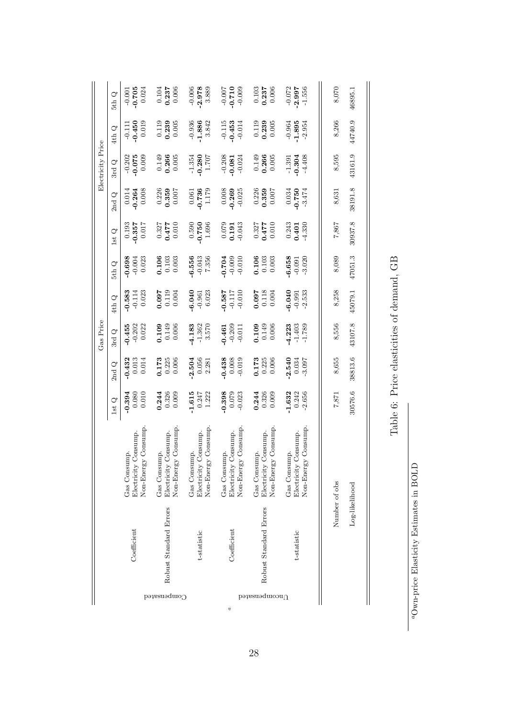Table 6: Price elasticities of demand, GB Table 6: Price elasticities of demand, GB

> $^a\mathrm{Own}\textrm{-}\mathrm{price}$  Elasticity Estimates in BOLD  $a_{\rm Own\text{-}price}$  Elasticity Estimates in BOLD

 $\parallel$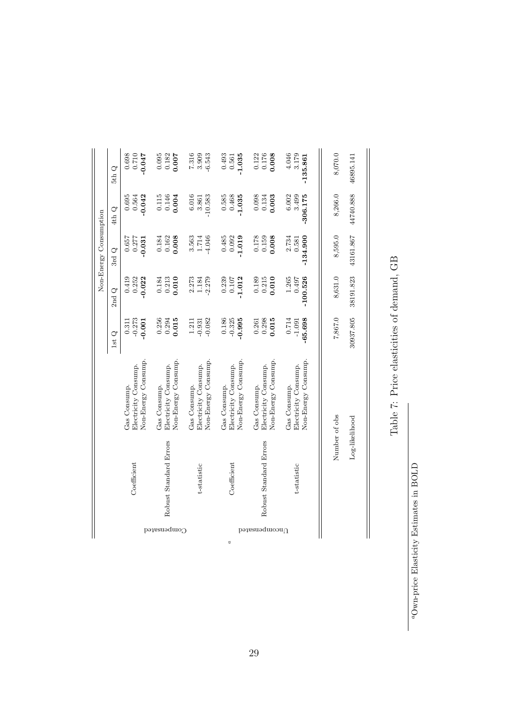|   |                      |                        |                                      |                   |                 | Non-Energy Consumption |                    |                        |
|---|----------------------|------------------------|--------------------------------------|-------------------|-----------------|------------------------|--------------------|------------------------|
|   |                      |                        |                                      | $1st\ {\rm Q}$    | $2nd$ ${\bf Q}$ | 3rd $Q$                | $4thQ$             | 5thQ                   |
|   |                      | Coefficient            | Electricity Consump.<br>Gas Consump. | $-0.273$<br>0.311 | 0.252<br>0.419  | 0.657<br>0.277         | 0.695<br>0.564     | 0.698                  |
|   |                      |                        | Non-Energy Consump.                  | $-0.001$          | $-0.022$        | $-0.031$               | $-0.042$           | <b>450.0-</b><br>0TZ:0 |
|   | ⊖ompensated          |                        | Gas Consump.                         | 0.256             | 0.184           | 0.184                  |                    | 0.095                  |
|   |                      | Robust Standard Errors | Electricity Consump.                 | 0.294             | 0.213           | 0.162                  | $0.115$<br>$0.146$ | 0.182                  |
|   |                      |                        | Non-Energy Consump.                  | 0.015             | 0.010           | 0.008                  | 0.004              | 0.007                  |
|   |                      |                        | Gas Consump.                         | 1.211             | 2.273           | 3.563                  | 6.016              |                        |
|   |                      | t-statistic            | Electricity Consump.                 | $-0.931$          | 1.184           | 1.714                  | 3.861              | 7.316<br>3.909         |
|   |                      |                        | Non-Energy Consump.                  | $-0.082$          | $-2.279$        | $-4.046$               | 10.583             | $-6.543$               |
|   |                      |                        | Gas Consump.                         | 0.186             | 0.239           | 0.485                  | 0.585              | 0.493                  |
| d |                      | Coefficient            | Electricity Consump.                 | $-0.325$          | 0.107           | 0.092                  | 0.468              | 0.561                  |
|   |                      |                        | Non-Energy Consump.                  | $-0.995$          | 1.012           | 1.019                  | 1.035              | $-1.035$               |
|   | $\Omega$ pompensated |                        | Gas Consump.                         | 0.261             | 0.189           | 0.178                  | 0.098              | 0.122                  |
|   |                      | Robust Standard Errors | Electricity Consump.                 | 0.298             | 0.215           | 0.159                  | $0.134$<br>$0.003$ | 0.176                  |
|   |                      |                        | Non-Energy Consump.                  | 0.015             | 0.010           | 0.008                  |                    |                        |
|   |                      |                        | Gas Consump.                         | 0.714             | 1.265           | 2.734                  | 6.002              | 4.046                  |
|   |                      | t-statistic            | Electricity Consump.                 | $-1.091$          | 0.497           | 0.581                  | 3.499              | 3.179                  |
|   |                      |                        | Non-Energy Consump.                  | $-65.698$         | $-100.526$      | $-134.900$             | $-306.175$         | $-135.861$             |
|   |                      |                        |                                      |                   |                 |                        |                    |                        |
|   |                      | Number of obs          |                                      | 7,867.0           | 8,631.0         | 8,595.0                | 8,266.0            | 8,070.0                |
|   |                      | Log-likelihood         |                                      | 30937.805         | 38191.823       | 43161.867              | 44740.888          | 46895.141              |

Table 7: Price elasticities of demand, GB Table 7: Price elasticities of demand, GB

 $^a\mathrm{Own}\text{-}\mathrm{price}$ Elasticity Estimates in BOLD

 $\frac{1}{2}$ 

 $a_{\rm Own\text{-}price}$  Elasticity Estimates in BOLD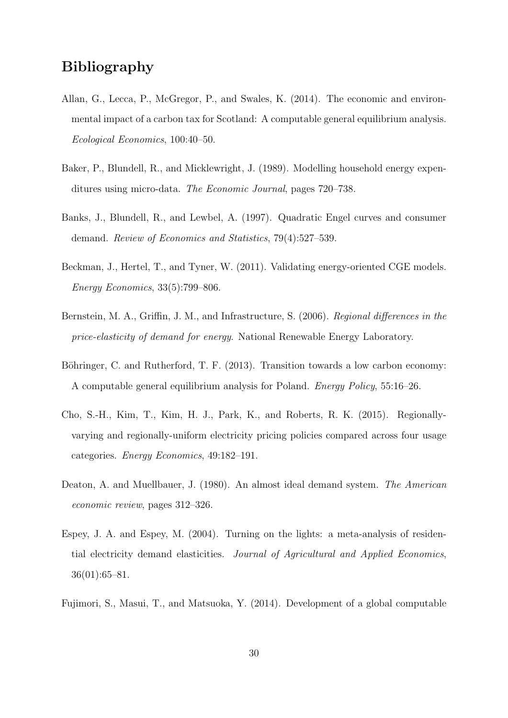## Bibliography

- Allan, G., Lecca, P., McGregor, P., and Swales, K. (2014). The economic and environmental impact of a carbon tax for Scotland: A computable general equilibrium analysis. Ecological Economics, 100:40–50.
- Baker, P., Blundell, R., and Micklewright, J. (1989). Modelling household energy expenditures using micro-data. The Economic Journal, pages 720–738.
- Banks, J., Blundell, R., and Lewbel, A. (1997). Quadratic Engel curves and consumer demand. Review of Economics and Statistics, 79(4):527–539.
- Beckman, J., Hertel, T., and Tyner, W. (2011). Validating energy-oriented CGE models. Energy Economics, 33(5):799–806.
- Bernstein, M. A., Griffin, J. M., and Infrastructure, S. (2006). Regional differences in the price-elasticity of demand for energy. National Renewable Energy Laboratory.
- Böhringer, C. and Rutherford, T. F. (2013). Transition towards a low carbon economy: A computable general equilibrium analysis for Poland. Energy Policy, 55:16–26.
- Cho, S.-H., Kim, T., Kim, H. J., Park, K., and Roberts, R. K. (2015). Regionallyvarying and regionally-uniform electricity pricing policies compared across four usage categories. Energy Economics, 49:182–191.
- Deaton, A. and Muellbauer, J. (1980). An almost ideal demand system. The American economic review, pages 312–326.
- Espey, J. A. and Espey, M. (2004). Turning on the lights: a meta-analysis of residential electricity demand elasticities. Journal of Agricultural and Applied Economics, 36(01):65–81.
- Fujimori, S., Masui, T., and Matsuoka, Y. (2014). Development of a global computable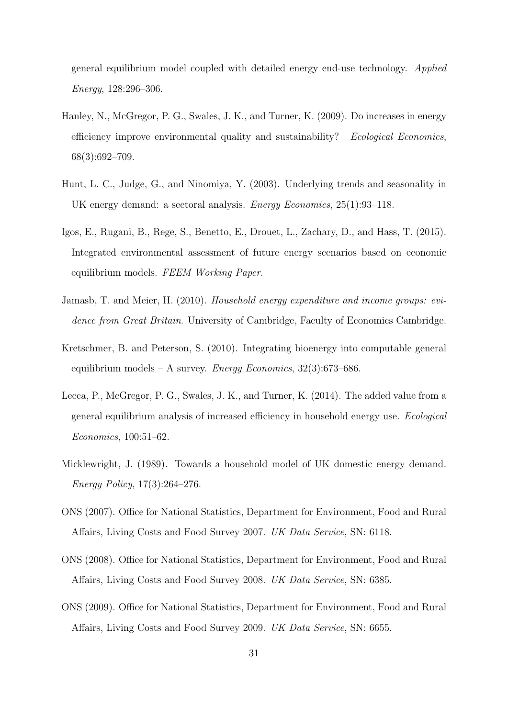general equilibrium model coupled with detailed energy end-use technology. Applied Energy, 128:296–306.

- Hanley, N., McGregor, P. G., Swales, J. K., and Turner, K. (2009). Do increases in energy efficiency improve environmental quality and sustainability? Ecological Economics, 68(3):692–709.
- Hunt, L. C., Judge, G., and Ninomiya, Y. (2003). Underlying trends and seasonality in UK energy demand: a sectoral analysis. Energy Economics, 25(1):93–118.
- Igos, E., Rugani, B., Rege, S., Benetto, E., Drouet, L., Zachary, D., and Hass, T. (2015). Integrated environmental assessment of future energy scenarios based on economic equilibrium models. FEEM Working Paper.
- Jamasb, T. and Meier, H. (2010). Household energy expenditure and income groups: evidence from Great Britain. University of Cambridge, Faculty of Economics Cambridge.
- Kretschmer, B. and Peterson, S. (2010). Integrating bioenergy into computable general equilibrium models – A survey. Energy Economics,  $32(3)$ :673–686.
- Lecca, P., McGregor, P. G., Swales, J. K., and Turner, K. (2014). The added value from a general equilibrium analysis of increased efficiency in household energy use. Ecological Economics, 100:51–62.
- Micklewright, J. (1989). Towards a household model of UK domestic energy demand. Energy Policy, 17(3):264–276.
- ONS (2007). Office for National Statistics, Department for Environment, Food and Rural Affairs, Living Costs and Food Survey 2007. UK Data Service, SN: 6118.
- ONS (2008). Office for National Statistics, Department for Environment, Food and Rural Affairs, Living Costs and Food Survey 2008. UK Data Service, SN: 6385.
- ONS (2009). Office for National Statistics, Department for Environment, Food and Rural Affairs, Living Costs and Food Survey 2009. UK Data Service, SN: 6655.